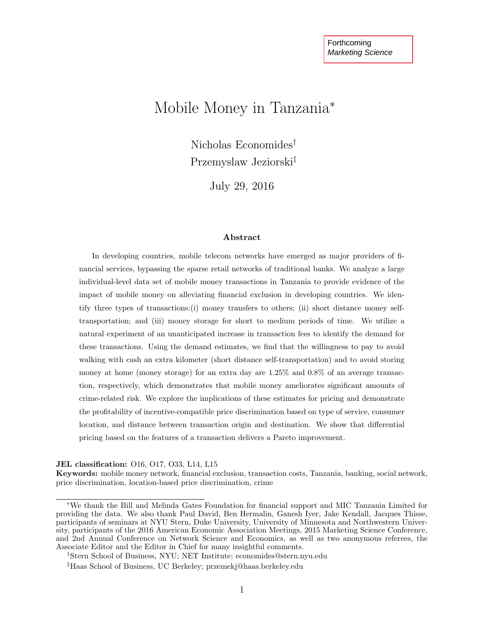# Mobile Money in Tanzania<sup>∗</sup>

Nicholas Economides† Przemyslaw Jeziorski‡

July 29, 2016

#### Abstract

In developing countries, mobile telecom networks have emerged as major providers of financial services, bypassing the sparse retail networks of traditional banks. We analyze a large individual-level data set of mobile money transactions in Tanzania to provide evidence of the impact of mobile money on alleviating financial exclusion in developing countries. We identify three types of transactions:(i) money transfers to others; (ii) short distance money selftransportation; and (iii) money storage for short to medium periods of time. We utilize a natural experiment of an unanticipated increase in transaction fees to identify the demand for these transactions. Using the demand estimates, we find that the willingness to pay to avoid walking with cash an extra kilometer (short distance self-transportation) and to avoid storing money at home (money storage) for an extra day are 1.25% and 0.8% of an average transaction, respectively, which demonstrates that mobile money ameliorates significant amounts of crime-related risk. We explore the implications of these estimates for pricing and demonstrate the profitability of incentive-compatible price discrimination based on type of service, consumer location, and distance between transaction origin and destination. We show that differential pricing based on the features of a transaction delivers a Pareto improvement.

JEL classification: O16, O17, O33, L14, L15

Keywords: mobile money network, financial exclusion, transaction costs, Tanzania, banking, social network, price discrimination, location-based price discrimination, crime

<sup>∗</sup>We thank the Bill and Melinda Gates Foundation for financial support and MIC Tanzania Limited for providing the data. We also thank Paul David, Ben Hermalin, Ganesh Iyer, Jake Kendall, Jacques Thisse, participants of seminars at NYU Stern, Duke University, University of Minnesota and Northwestern University, participants of the 2016 American Economic Association Meetings, 2015 Marketing Science Conference, and 2nd Annual Conference on Network Science and Economics, as well as two anonymous referees, the Associate Editor and the Editor in Chief for many insightful comments.

<sup>†</sup>Stern School of Business, NYU; NET Institute; economides@stern.nyu.edu

<sup>‡</sup>Haas School of Business, UC Berkeley; przemekj@haas.berkeley.edu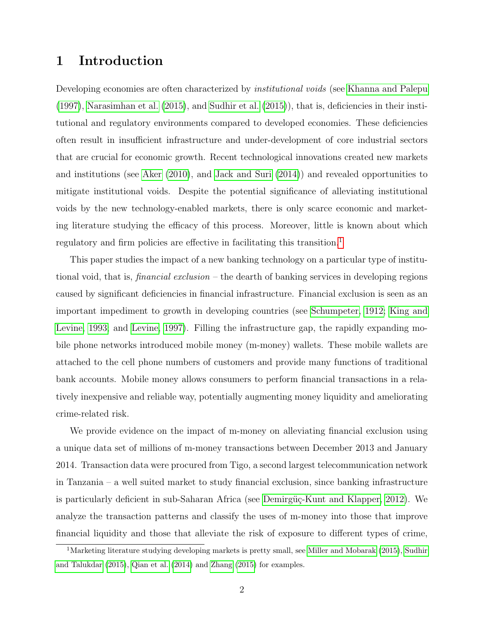## 1 Introduction

Developing economies are often characterized by *institutional voids* (see [Khanna and Palepu](#page-40-0) [\(1997\)](#page-40-0), [Narasimhan et al.](#page-40-1) [\(2015\)](#page-40-1), and [Sudhir et al.](#page-41-0) [\(2015\)](#page-41-0)), that is, deficiencies in their institutional and regulatory environments compared to developed economies. These deficiencies often result in insufficient infrastructure and under-development of core industrial sectors that are crucial for economic growth. Recent technological innovations created new markets and institutions (see [Aker](#page-38-0) [\(2010\)](#page-38-0), and [Jack and Suri](#page-39-0) [\(2014\)](#page-39-0)) and revealed opportunities to mitigate institutional voids. Despite the potential significance of alleviating institutional voids by the new technology-enabled markets, there is only scarce economic and marketing literature studying the efficacy of this process. Moreover, little is known about which regulatory and firm policies are effective in facilitating this transition.<sup>[1](#page-1-0)</sup>

This paper studies the impact of a new banking technology on a particular type of institutional void, that is, *financial exclusion* – the dearth of banking services in developing regions caused by significant deficiencies in financial infrastructure. Financial exclusion is seen as an important impediment to growth in developing countries (see [Schumpeter, 1912;](#page-41-1) [King and](#page-40-2) [Levine, 1993;](#page-40-2) and [Levine, 1997\)](#page-40-3). Filling the infrastructure gap, the rapidly expanding mobile phone networks introduced mobile money (m-money) wallets. These mobile wallets are attached to the cell phone numbers of customers and provide many functions of traditional bank accounts. Mobile money allows consumers to perform financial transactions in a relatively inexpensive and reliable way, potentially augmenting money liquidity and ameliorating crime-related risk.

We provide evidence on the impact of m-money on alleviating financial exclusion using a unique data set of millions of m-money transactions between December 2013 and January 2014. Transaction data were procured from Tigo, a second largest telecommunication network in Tanzania – a well suited market to study financial exclusion, since banking infrastructure is particularly deficient in sub-Saharan Africa (see Demirgüç-Kunt and Klapper, 2012). We analyze the transaction patterns and classify the uses of m-money into those that improve financial liquidity and those that alleviate the risk of exposure to different types of crime,

<span id="page-1-0"></span><sup>&</sup>lt;sup>1</sup>Marketing literature studying developing markets is pretty small, see [Miller and Mobarak](#page-40-4) [\(2015\)](#page-40-4), [Sudhir](#page-41-2) [and Talukdar](#page-41-2) [\(2015\)](#page-41-2), [Qian et al.](#page-41-3) [\(2014\)](#page-41-3) and [Zhang](#page-42-0) [\(2015\)](#page-42-0) for examples.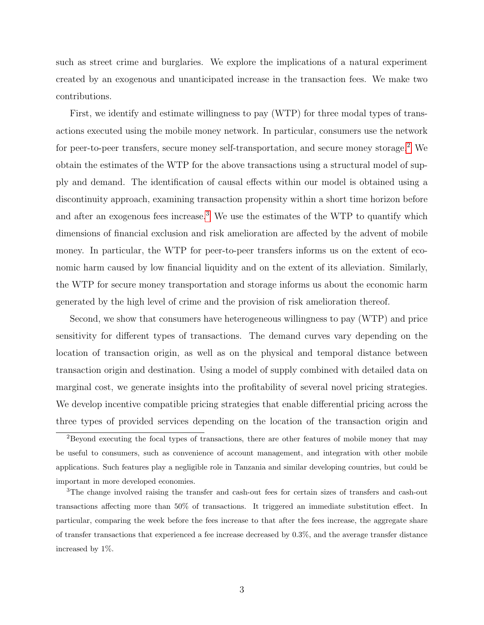such as street crime and burglaries. We explore the implications of a natural experiment created by an exogenous and unanticipated increase in the transaction fees. We make two contributions.

First, we identify and estimate willingness to pay (WTP) for three modal types of transactions executed using the mobile money network. In particular, consumers use the network for peer-to-peer transfers, secure money self-transportation, and secure money storage.<sup>[2](#page-2-0)</sup> We obtain the estimates of the WTP for the above transactions using a structural model of supply and demand. The identification of causal effects within our model is obtained using a discontinuity approach, examining transaction propensity within a short time horizon before and after an exogenous fees increase.<sup>[3](#page-2-1)</sup> We use the estimates of the WTP to quantify which dimensions of financial exclusion and risk amelioration are affected by the advent of mobile money. In particular, the WTP for peer-to-peer transfers informs us on the extent of economic harm caused by low financial liquidity and on the extent of its alleviation. Similarly, the WTP for secure money transportation and storage informs us about the economic harm generated by the high level of crime and the provision of risk amelioration thereof.

Second, we show that consumers have heterogeneous willingness to pay (WTP) and price sensitivity for different types of transactions. The demand curves vary depending on the location of transaction origin, as well as on the physical and temporal distance between transaction origin and destination. Using a model of supply combined with detailed data on marginal cost, we generate insights into the profitability of several novel pricing strategies. We develop incentive compatible pricing strategies that enable differential pricing across the three types of provided services depending on the location of the transaction origin and

<span id="page-2-0"></span><sup>&</sup>lt;sup>2</sup>Beyond executing the focal types of transactions, there are other features of mobile money that may be useful to consumers, such as convenience of account management, and integration with other mobile applications. Such features play a negligible role in Tanzania and similar developing countries, but could be important in more developed economies.

<span id="page-2-1"></span><sup>3</sup>The change involved raising the transfer and cash-out fees for certain sizes of transfers and cash-out transactions affecting more than 50% of transactions. It triggered an immediate substitution effect. In particular, comparing the week before the fees increase to that after the fees increase, the aggregate share of transfer transactions that experienced a fee increase decreased by 0.3%, and the average transfer distance increased by 1%.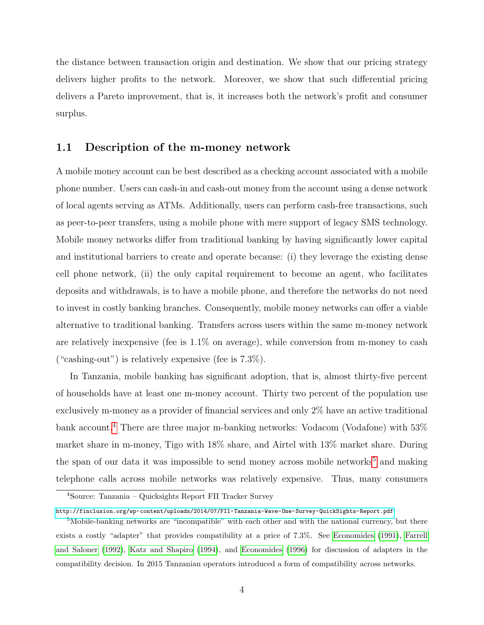the distance between transaction origin and destination. We show that our pricing strategy delivers higher profits to the network. Moreover, we show that such differential pricing delivers a Pareto improvement, that is, it increases both the network's profit and consumer surplus.

### 1.1 Description of the m-money network

A mobile money account can be best described as a checking account associated with a mobile phone number. Users can cash-in and cash-out money from the account using a dense network of local agents serving as ATMs. Additionally, users can perform cash-free transactions, such as peer-to-peer transfers, using a mobile phone with mere support of legacy SMS technology. Mobile money networks differ from traditional banking by having significantly lower capital and institutional barriers to create and operate because: (i) they leverage the existing dense cell phone network, (ii) the only capital requirement to become an agent, who facilitates deposits and withdrawals, is to have a mobile phone, and therefore the networks do not need to invest in costly banking branches. Consequently, mobile money networks can offer a viable alternative to traditional banking. Transfers across users within the same m-money network are relatively inexpensive (fee is 1.1% on average), while conversion from m-money to cash ("cashing-out") is relatively expensive (fee is  $7.3\%$ ).

In Tanzania, mobile banking has significant adoption, that is, almost thirty-five percent of households have at least one m-money account. Thirty two percent of the population use exclusively m-money as a provider of financial services and only 2% have an active traditional bank account.<sup>[4](#page-3-0)</sup> There are three major m-banking networks: Vodacom (Vodafone) with 53% market share in m-money, Tigo with 18% share, and Airtel with 13% market share. During the span of our data it was impossible to send money across mobile networks<sup>[5](#page-3-1)</sup> and making telephone calls across mobile networks was relatively expensive. Thus, many consumers

<span id="page-3-0"></span><sup>4</sup>Source: Tanzania – Quicksights Report FII Tracker Survey

<span id="page-3-1"></span><http://finclusion.org/wp-content/uploads/2014/07/FII-Tanzania-Wave-One-Survey-QuickSights-Report.pdf>

<sup>&</sup>lt;sup>5</sup>Mobile-banking networks are "incompatible" with each other and with the national currency, but there exists a costly "adapter" that provides compatibility at a price of 7.3%. See [Economides](#page-38-2) [\(1991\)](#page-38-2), [Farrell](#page-39-1) [and Saloner](#page-39-1) [\(1992\)](#page-39-1), [Katz and Shapiro](#page-39-2) [\(1994\)](#page-39-2), and [Economides](#page-38-3) [\(1996\)](#page-38-3) for discussion of adapters in the compatibility decision. In 2015 Tanzanian operators introduced a form of compatibility across networks.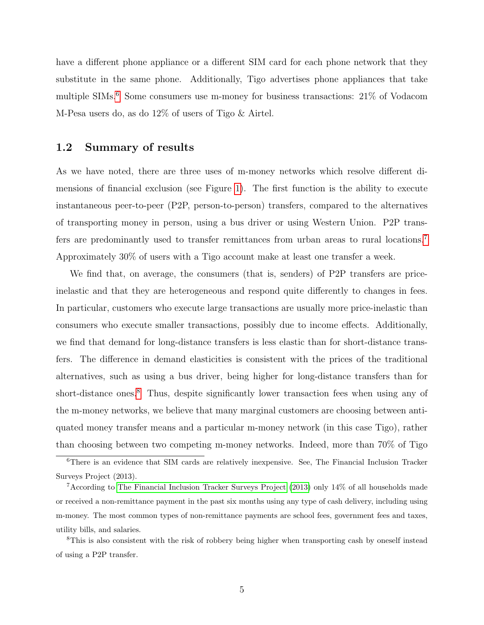have a different phone appliance or a different SIM card for each phone network that they substitute in the same phone. Additionally, Tigo advertises phone appliances that take multiple SIMs.[6](#page-4-0) Some consumers use m-money for business transactions: 21% of Vodacom M-Pesa users do, as do 12% of users of Tigo & Airtel.

### 1.2 Summary of results

As we have noted, there are three uses of m-money networks which resolve different dimensions of financial exclusion (see Figure [1\)](#page-43-0). The first function is the ability to execute instantaneous peer-to-peer (P2P, person-to-person) transfers, compared to the alternatives of transporting money in person, using a bus driver or using Western Union. P2P transfers are predominantly used to transfer remittances from urban areas to rural locations.[7](#page-4-1) Approximately 30% of users with a Tigo account make at least one transfer a week.

We find that, on average, the consumers (that is, senders) of P2P transfers are priceinelastic and that they are heterogeneous and respond quite differently to changes in fees. In particular, customers who execute large transactions are usually more price-inelastic than consumers who execute smaller transactions, possibly due to income effects. Additionally, we find that demand for long-distance transfers is less elastic than for short-distance transfers. The difference in demand elasticities is consistent with the prices of the traditional alternatives, such as using a bus driver, being higher for long-distance transfers than for short-distance ones.<sup>[8](#page-4-2)</sup> Thus, despite significantly lower transaction fees when using any of the m-money networks, we believe that many marginal customers are choosing between antiquated money transfer means and a particular m-money network (in this case Tigo), rather than choosing between two competing m-money networks. Indeed, more than 70% of Tigo

<span id="page-4-0"></span><sup>6</sup>There is an evidence that SIM cards are relatively inexpensive. See, The Financial Inclusion Tracker Surveys Project (2013).

<span id="page-4-1"></span><sup>7</sup>According to [The Financial Inclusion Tracker Surveys Project](#page-41-4) [\(2013\)](#page-41-4) only 14% of all households made or received a non-remittance payment in the past six months using any type of cash delivery, including using m-money. The most common types of non-remittance payments are school fees, government fees and taxes, utility bills, and salaries.

<span id="page-4-2"></span><sup>8</sup>This is also consistent with the risk of robbery being higher when transporting cash by oneself instead of using a P2P transfer.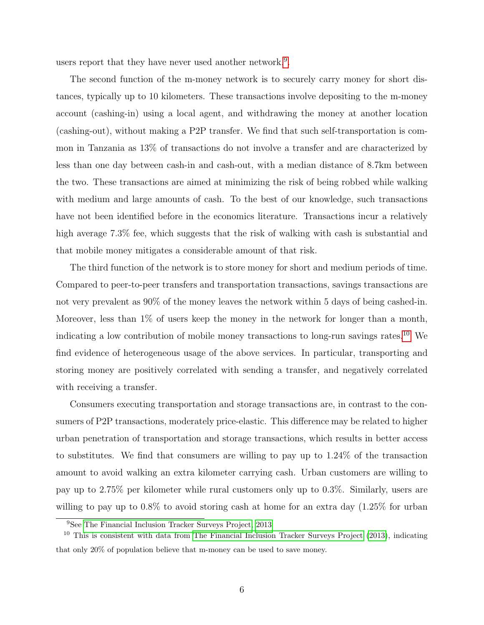users report that they have never used another network.<sup>[9](#page-5-0)</sup>.

The second function of the m-money network is to securely carry money for short distances, typically up to 10 kilometers. These transactions involve depositing to the m-money account (cashing-in) using a local agent, and withdrawing the money at another location (cashing-out), without making a P2P transfer. We find that such self-transportation is common in Tanzania as 13% of transactions do not involve a transfer and are characterized by less than one day between cash-in and cash-out, with a median distance of 8.7km between the two. These transactions are aimed at minimizing the risk of being robbed while walking with medium and large amounts of cash. To the best of our knowledge, such transactions have not been identified before in the economics literature. Transactions incur a relatively high average  $7.3\%$  fee, which suggests that the risk of walking with cash is substantial and that mobile money mitigates a considerable amount of that risk.

The third function of the network is to store money for short and medium periods of time. Compared to peer-to-peer transfers and transportation transactions, savings transactions are not very prevalent as 90% of the money leaves the network within 5 days of being cashed-in. Moreover, less than 1% of users keep the money in the network for longer than a month, indicating a low contribution of mobile money transactions to long-run savings rates.[10](#page-5-1) We find evidence of heterogeneous usage of the above services. In particular, transporting and storing money are positively correlated with sending a transfer, and negatively correlated with receiving a transfer.

Consumers executing transportation and storage transactions are, in contrast to the consumers of P2P transactions, moderately price-elastic. This difference may be related to higher urban penetration of transportation and storage transactions, which results in better access to substitutes. We find that consumers are willing to pay up to 1.24% of the transaction amount to avoid walking an extra kilometer carrying cash. Urban customers are willing to pay up to 2.75% per kilometer while rural customers only up to 0.3%. Similarly, users are willing to pay up to  $0.8\%$  to avoid storing cash at home for an extra day  $(1.25\%$  for urban

<span id="page-5-1"></span><span id="page-5-0"></span><sup>9</sup>See [The Financial Inclusion Tracker Surveys Project, 2013](#page-41-4)

 $10$  This is consistent with data from [The Financial Inclusion Tracker Surveys Project](#page-41-4) [\(2013\)](#page-41-4), indicating that only 20% of population believe that m-money can be used to save money.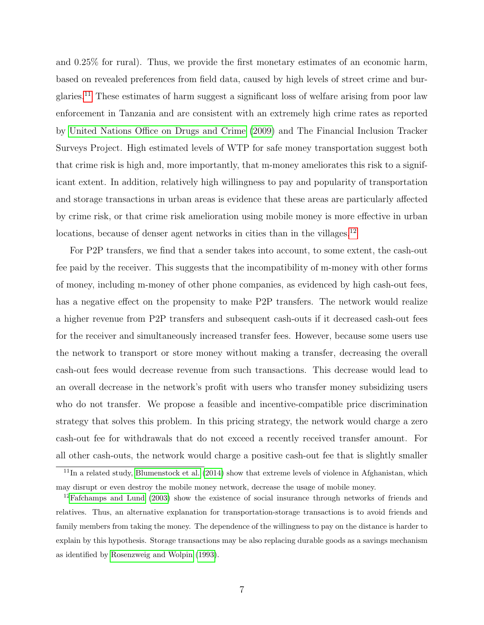and 0.25% for rural). Thus, we provide the first monetary estimates of an economic harm, based on revealed preferences from field data, caused by high levels of street crime and burglaries.[11](#page-6-0) These estimates of harm suggest a significant loss of welfare arising from poor law enforcement in Tanzania and are consistent with an extremely high crime rates as reported by [United Nations Office on Drugs and Crime](#page-42-1) [\(2009\)](#page-42-1) and The Financial Inclusion Tracker Surveys Project. High estimated levels of WTP for safe money transportation suggest both that crime risk is high and, more importantly, that m-money ameliorates this risk to a significant extent. In addition, relatively high willingness to pay and popularity of transportation and storage transactions in urban areas is evidence that these areas are particularly affected by crime risk, or that crime risk amelioration using mobile money is more effective in urban locations, because of denser agent networks in cities than in the villages.<sup>[12](#page-6-1)</sup>

For P2P transfers, we find that a sender takes into account, to some extent, the cash-out fee paid by the receiver. This suggests that the incompatibility of m-money with other forms of money, including m-money of other phone companies, as evidenced by high cash-out fees, has a negative effect on the propensity to make P2P transfers. The network would realize a higher revenue from P2P transfers and subsequent cash-outs if it decreased cash-out fees for the receiver and simultaneously increased transfer fees. However, because some users use the network to transport or store money without making a transfer, decreasing the overall cash-out fees would decrease revenue from such transactions. This decrease would lead to an overall decrease in the network's profit with users who transfer money subsidizing users who do not transfer. We propose a feasible and incentive-compatible price discrimination strategy that solves this problem. In this pricing strategy, the network would charge a zero cash-out fee for withdrawals that do not exceed a recently received transfer amount. For all other cash-outs, the network would charge a positive cash-out fee that is slightly smaller

<span id="page-6-0"></span> $11$ In a related study, [Blumenstock et al.](#page-38-4) [\(2014\)](#page-38-4) show that extreme levels of violence in Afghanistan, which may disrupt or even destroy the mobile money network, decrease the usage of mobile money.

<span id="page-6-1"></span> $12F$ afchamps and Lund [\(2003\)](#page-39-3) show the existence of social insurance through networks of friends and relatives. Thus, an alternative explanation for transportation-storage transactions is to avoid friends and family members from taking the money. The dependence of the willingness to pay on the distance is harder to explain by this hypothesis. Storage transactions may be also replacing durable goods as a savings mechanism as identified by [Rosenzweig and Wolpin](#page-41-5) [\(1993\)](#page-41-5).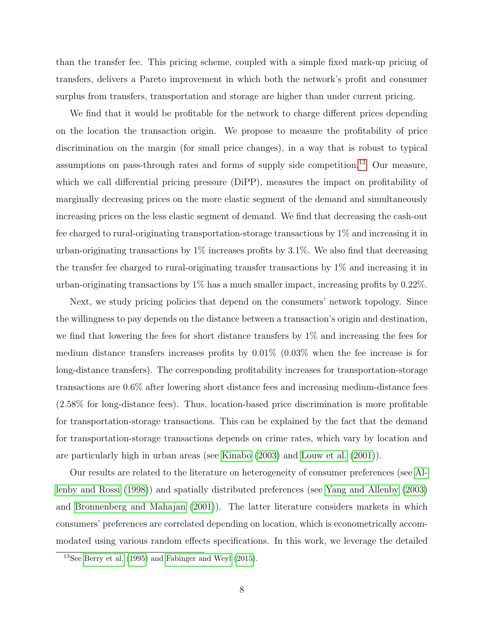than the transfer fee. This pricing scheme, coupled with a simple fixed mark-up pricing of transfers, delivers a Pareto improvement in which both the network's profit and consumer surplus from transfers, transportation and storage are higher than under current pricing.

We find that it would be profitable for the network to charge different prices depending on the location the transaction origin. We propose to measure the profitability of price discrimination on the margin (for small price changes), in a way that is robust to typical assumptions on pass-through rates and forms of supply side competition.<sup>[13](#page-7-0)</sup> Our measure, which we call differential pricing pressure (DiPP), measures the impact on profitability of marginally decreasing prices on the more elastic segment of the demand and simultaneously increasing prices on the less elastic segment of demand. We find that decreasing the cash-out fee charged to rural-originating transportation-storage transactions by 1% and increasing it in urban-originating transactions by 1% increases profits by 3.1%. We also find that decreasing the transfer fee charged to rural-originating transfer transactions by 1% and increasing it in urban-originating transactions by 1% has a much smaller impact, increasing profits by 0.22%.

Next, we study pricing policies that depend on the consumers' network topology. Since the willingness to pay depends on the distance between a transaction's origin and destination, we find that lowering the fees for short distance transfers by 1% and increasing the fees for medium distance transfers increases profits by 0.01% (0.03% when the fee increase is for long-distance transfers). The corresponding profitability increases for transportation-storage transactions are 0.6% after lowering short distance fees and increasing medium-distance fees (2.58% for long-distance fees). Thus, location-based price discrimination is more profitable for transportation-storage transactions. This can be explained by the fact that the demand for transportation-storage transactions depends on crime rates, which vary by location and are particularly high in urban areas (see [Kinabo](#page-40-5) [\(2003\)](#page-40-5) and [Louw et al.](#page-40-6) [\(2001\)](#page-40-6)).

Our results are related to the literature on heterogeneity of consumer preferences (see [Al](#page-38-5)[lenby and Rossi](#page-38-5) [\(1998\)](#page-38-5)) and spatially distributed preferences (see [Yang and Allenby](#page-42-2) [\(2003\)](#page-42-2) and [Bronnenberg and Mahajan](#page-38-6) [\(2001\)](#page-38-6)). The latter literature considers markets in which consumers' preferences are correlated depending on location, which is econometrically accommodated using various random effects specifications. In this work, we leverage the detailed

<span id="page-7-0"></span><sup>13</sup>See [Berry et al.](#page-38-7) [\(1995\)](#page-38-7) and [Fabinger and Weyl](#page-39-4) [\(2015\)](#page-39-4).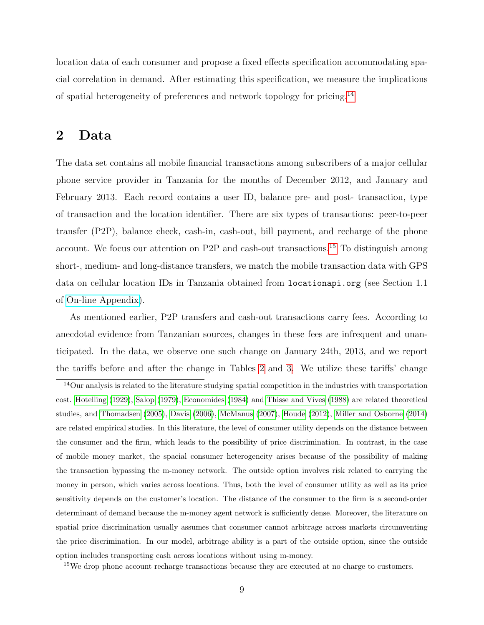location data of each consumer and propose a fixed effects specification accommodating spacial correlation in demand. After estimating this specification, we measure the implications of spatial heterogeneity of preferences and network topology for pricing.[14](#page-8-0)

## <span id="page-8-2"></span>2 Data

The data set contains all mobile financial transactions among subscribers of a major cellular phone service provider in Tanzania for the months of December 2012, and January and February 2013. Each record contains a user ID, balance pre- and post- transaction, type of transaction and the location identifier. There are six types of transactions: peer-to-peer transfer (P2P), balance check, cash-in, cash-out, bill payment, and recharge of the phone account. We focus our attention on P2P and cash-out transactions.[15](#page-8-1) To distinguish among short-, medium- and long-distance transfers, we match the mobile transaction data with GPS data on cellular location IDs in Tanzania obtained from locationapi.org (see Section 1.1 of [On-line Appendix\)](http://www.stern.nyu.edu/networks/Mobile_Money_Appendix.pdf).

As mentioned earlier, P2P transfers and cash-out transactions carry fees. According to anecdotal evidence from Tanzanian sources, changes in these fees are infrequent and unanticipated. In the data, we observe one such change on January 24th, 2013, and we report the tariffs before and after the change in Tables [2](#page-44-0) and [3.](#page-45-0) We utilize these tariffs' change

<span id="page-8-0"></span><sup>14</sup>Our analysis is related to the literature studying spatial competition in the industries with transportation cost. [Hotelling](#page-39-5) [\(1929\)](#page-39-5), [Salop](#page-41-6) [\(1979\)](#page-41-6), [Economides](#page-38-8) [\(1984\)](#page-38-8) and [Thisse and Vives](#page-41-7) [\(1988\)](#page-41-7) are related theoretical studies, and [Thomadsen](#page-42-3) [\(2005\)](#page-42-3), [Davis](#page-38-9) [\(2006\)](#page-38-9), [McManus](#page-40-7) [\(2007\)](#page-40-7), [Houde](#page-39-6) [\(2012\)](#page-39-6), [Miller and Osborne](#page-40-8) [\(2014\)](#page-40-8) are related empirical studies. In this literature, the level of consumer utility depends on the distance between the consumer and the firm, which leads to the possibility of price discrimination. In contrast, in the case of mobile money market, the spacial consumer heterogeneity arises because of the possibility of making the transaction bypassing the m-money network. The outside option involves risk related to carrying the money in person, which varies across locations. Thus, both the level of consumer utility as well as its price sensitivity depends on the customer's location. The distance of the consumer to the firm is a second-order determinant of demand because the m-money agent network is sufficiently dense. Moreover, the literature on spatial price discrimination usually assumes that consumer cannot arbitrage across markets circumventing the price discrimination. In our model, arbitrage ability is a part of the outside option, since the outside option includes transporting cash across locations without using m-money.

<span id="page-8-1"></span><sup>&</sup>lt;sup>15</sup>We drop phone account recharge transactions because they are executed at no charge to customers.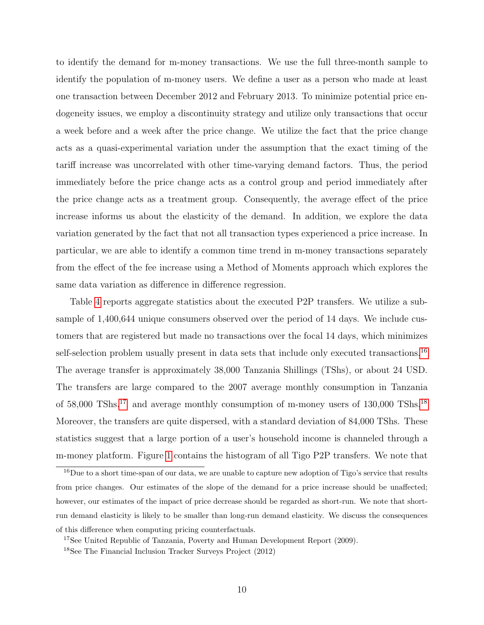to identify the demand for m-money transactions. We use the full three-month sample to identify the population of m-money users. We define a user as a person who made at least one transaction between December 2012 and February 2013. To minimize potential price endogeneity issues, we employ a discontinuity strategy and utilize only transactions that occur a week before and a week after the price change. We utilize the fact that the price change acts as a quasi-experimental variation under the assumption that the exact timing of the tariff increase was uncorrelated with other time-varying demand factors. Thus, the period immediately before the price change acts as a control group and period immediately after the price change acts as a treatment group. Consequently, the average effect of the price increase informs us about the elasticity of the demand. In addition, we explore the data variation generated by the fact that not all transaction types experienced a price increase. In particular, we are able to identify a common time trend in m-money transactions separately from the effect of the fee increase using a Method of Moments approach which explores the same data variation as difference in difference regression.

Table [4](#page-46-0) reports aggregate statistics about the executed P2P transfers. We utilize a subsample of 1,400,644 unique consumers observed over the period of 14 days. We include customers that are registered but made no transactions over the focal 14 days, which minimizes self-selection problem usually present in data sets that include only executed transactions.<sup>[16](#page-9-0)</sup> The average transfer is approximately 38,000 Tanzania Shillings (TShs), or about 24 USD. The transfers are large compared to the 2007 average monthly consumption in Tanzania of  $58,000$  TShs.<sup>[17](#page-9-1)</sup> and average monthly consumption of m-money users of  $130,000$  TShs.<sup>[18](#page-9-2)</sup> Moreover, the transfers are quite dispersed, with a standard deviation of 84,000 TShs. These statistics suggest that a large portion of a user's household income is channeled through a m-money platform. Figure [1](#page-44-1) contains the histogram of all Tigo P2P transfers. We note that

<span id="page-9-0"></span><sup>&</sup>lt;sup>16</sup>Due to a short time-span of our data, we are unable to capture new adoption of Tigo's service that results from price changes. Our estimates of the slope of the demand for a price increase should be unaffected; however, our estimates of the impact of price decrease should be regarded as short-run. We note that shortrun demand elasticity is likely to be smaller than long-run demand elasticity. We discuss the consequences of this difference when computing pricing counterfactuals.

<span id="page-9-2"></span><span id="page-9-1"></span><sup>&</sup>lt;sup>17</sup>See United Republic of Tanzania, Poverty and Human Development Report (2009).

<sup>18</sup>See The Financial Inclusion Tracker Surveys Project (2012)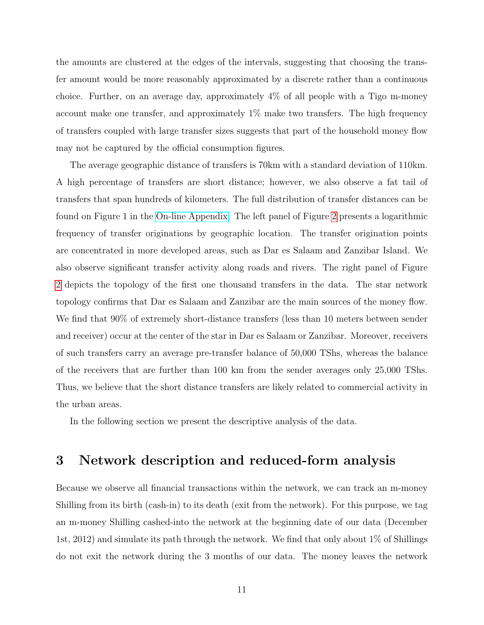the amounts are clustered at the edges of the intervals, suggesting that choosing the transfer amount would be more reasonably approximated by a discrete rather than a continuous choice. Further, on an average day, approximately 4% of all people with a Tigo m-money account make one transfer, and approximately 1% make two transfers. The high frequency of transfers coupled with large transfer sizes suggests that part of the household money flow may not be captured by the official consumption figures.

The average geographic distance of transfers is 70km with a standard deviation of 110km. A high percentage of transfers are short distance; however, we also observe a fat tail of transfers that span hundreds of kilometers. The full distribution of transfer distances can be found on Figure 1 in the [On-line Appendix.](http://www.stern.nyu.edu/networks/Mobile_Money_Appendix.pdf) The left panel of Figure [2](#page-45-1) presents a logarithmic frequency of transfer originations by geographic location. The transfer origination points are concentrated in more developed areas, such as Dar es Salaam and Zanzibar Island. We also observe significant transfer activity along roads and rivers. The right panel of Figure [2](#page-45-1) depicts the topology of the first one thousand transfers in the data. The star network topology confirms that Dar es Salaam and Zanzibar are the main sources of the money flow. We find that 90% of extremely short-distance transfers (less than 10 meters between sender and receiver) occur at the center of the star in Dar es Salaam or Zanzibar. Moreover, receivers of such transfers carry an average pre-transfer balance of 50,000 TShs, whereas the balance of the receivers that are further than 100 km from the sender averages only 25,000 TShs. Thus, we believe that the short distance transfers are likely related to commercial activity in the urban areas.

In the following section we present the descriptive analysis of the data.

## <span id="page-10-0"></span>3 Network description and reduced-form analysis

Because we observe all financial transactions within the network, we can track an m-money Shilling from its birth (cash-in) to its death (exit from the network). For this purpose, we tag an m-money Shilling cashed-into the network at the beginning date of our data (December 1st, 2012) and simulate its path through the network. We find that only about 1% of Shillings do not exit the network during the 3 months of our data. The money leaves the network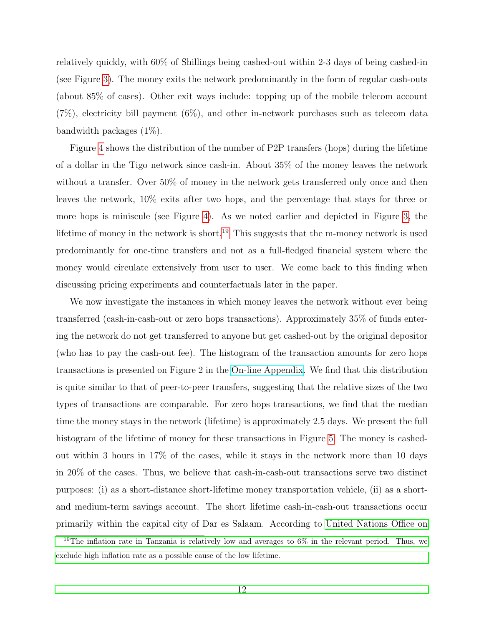relatively quickly, with 60% of Shillings being cashed-out within 2-3 days of being cashed-in (see Figure [3\)](#page-46-1). The money exits the network predominantly in the form of regular cash-outs (about 85% of cases). Other exit ways include: topping up of the mobile telecom account (7%), electricity bill payment (6%), and other in-network purchases such as telecom data bandwidth packages (1%).

Figure [4](#page-47-0) shows the distribution of the number of P2P transfers (hops) during the lifetime of a dollar in the Tigo network since cash-in. About 35% of the money leaves the network without a transfer. Over 50% of money in the network gets transferred only once and then leaves the network, 10% exits after two hops, and the percentage that stays for three or more hops is miniscule (see Figure [4\)](#page-47-0). As we noted earlier and depicted in Figure [3,](#page-46-1) the lifetime of money in the network is short.<sup>[19](#page-11-0)</sup> This suggests that the m-money network is used predominantly for one-time transfers and not as a full-fledged financial system where the money would circulate extensively from user to user. We come back to this finding when discussing pricing experiments and counterfactuals later in the paper.

We now investigate the instances in which money leaves the network without ever being transferred (cash-in-cash-out or zero hops transactions). Approximately 35% of funds entering the network do not get transferred to anyone but get cashed-out by the original depositor (who has to pay the cash-out fee). The histogram of the transaction amounts for zero hops transactions is presented on Figure 2 in the [On-line Appendix.](http://www.stern.nyu.edu/networks/Mobile_Money_Appendix.pdf) We find that this distribution is quite similar to that of peer-to-peer transfers, suggesting that the relative sizes of the two types of transactions are comparable. For zero hops transactions, we find that the median time the money stays in the network (lifetime) is approximately 2.5 days. We present the full histogram of the lifetime of money for these transactions in Figure [5.](#page-47-1) The money is cashedout within 3 hours in 17% of the cases, while it stays in the network more than 10 days in 20% of the cases. Thus, we believe that cash-in-cash-out transactions serve two distinct purposes: (i) as a short-distance short-lifetime money transportation vehicle, (ii) as a shortand medium-term savings account. The short lifetime cash-in-cash-out transactions occur primarily within the capital city of Dar es Salaam. According to [United Nations Office on](#page-42-1)

<span id="page-11-0"></span><sup>19</sup>[The inflation rate in Tanzania is relatively low and averages to 6% in the relevant period. Thus, we](#page-42-1) [exclude high inflation rate as a possible cause of the low lifetime.](#page-42-1)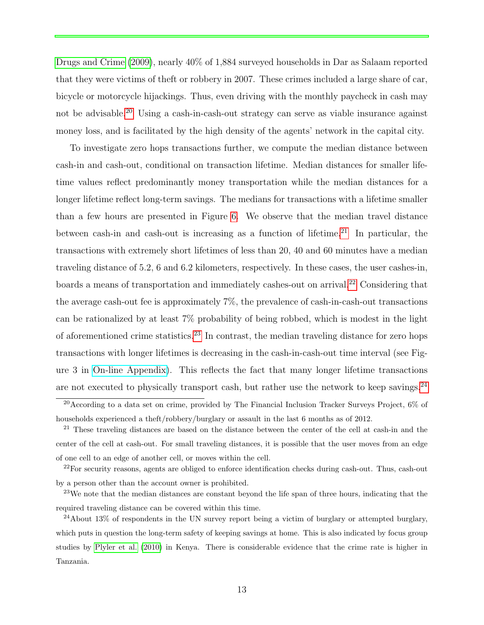[Drugs and Crime](#page-42-1) [\(2009\)](#page-42-1), nearly 40% of 1,884 surveyed households in Dar as Salaam reported that they were victims of theft or robbery in 2007. These crimes included a large share of car, bicycle or motorcycle hijackings. Thus, even driving with the monthly paycheck in cash may not be advisable.<sup>[20](#page-12-0)</sup> Using a cash-in-cash-out strategy can serve as viable insurance against money loss, and is facilitated by the high density of the agents' network in the capital city.

To investigate zero hops transactions further, we compute the median distance between cash-in and cash-out, conditional on transaction lifetime. Median distances for smaller lifetime values reflect predominantly money transportation while the median distances for a longer lifetime reflect long-term savings. The medians for transactions with a lifetime smaller than a few hours are presented in Figure [6.](#page-47-2) We observe that the median travel distance between cash-in and cash-out is increasing as a function of lifetime.<sup>[21](#page-12-1)</sup> In particular, the transactions with extremely short lifetimes of less than 20, 40 and 60 minutes have a median traveling distance of 5.2, 6 and 6.2 kilometers, respectively. In these cases, the user cashes-in, boards a means of transportation and immediately cashes-out on arrival.<sup>[22](#page-12-2)</sup> Considering that the average cash-out fee is approximately 7%, the prevalence of cash-in-cash-out transactions can be rationalized by at least 7% probability of being robbed, which is modest in the light of aforementioned crime statistics.<sup>[23](#page-12-3)</sup> In contrast, the median traveling distance for zero hops transactions with longer lifetimes is decreasing in the cash-in-cash-out time interval (see Figure 3 in [On-line Appendix\)](http://www.stern.nyu.edu/networks/Mobile_Money_Appendix.pdf). This reflects the fact that many longer lifetime transactions are not executed to physically transport cash, but rather use the network to keep savings.  $24$ 

<span id="page-12-0"></span><sup>&</sup>lt;sup>20</sup>According to a data set on crime, provided by The Financial Inclusion Tracker Surveys Project,  $6\%$  of households experienced a theft/robbery/burglary or assault in the last 6 months as of 2012.

<span id="page-12-1"></span><sup>&</sup>lt;sup>21</sup> These traveling distances are based on the distance between the center of the cell at cash-in and the center of the cell at cash-out. For small traveling distances, it is possible that the user moves from an edge of one cell to an edge of another cell, or moves within the cell.

<span id="page-12-2"></span> $^{22}$ For security reasons, agents are obliged to enforce identification checks during cash-out. Thus, cash-out by a person other than the account owner is prohibited.

<span id="page-12-3"></span><sup>&</sup>lt;sup>23</sup>We note that the median distances are constant beyond the life span of three hours, indicating that the required traveling distance can be covered within this time.

<span id="page-12-4"></span><sup>24</sup>About 13% of respondents in the UN survey report being a victim of burglary or attempted burglary, which puts in question the long-term safety of keeping savings at home. This is also indicated by focus group studies by [Plyler et al.](#page-41-8) [\(2010\)](#page-41-8) in Kenya. There is considerable evidence that the crime rate is higher in Tanzania.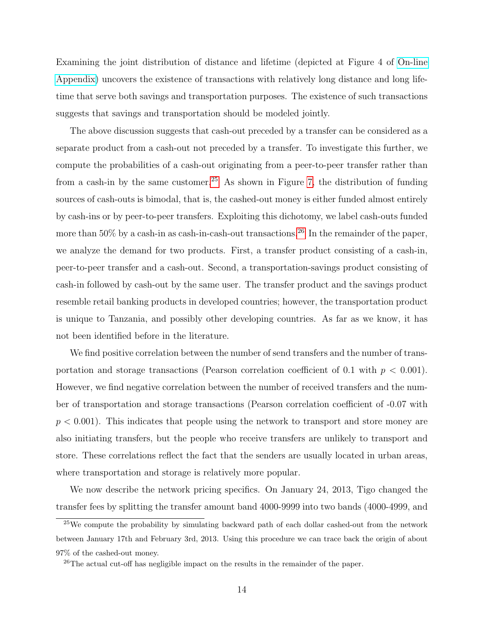Examining the joint distribution of distance and lifetime (depicted at Figure 4 of [On-line](http://www.stern.nyu.edu/networks/Mobile_Money_Appendix.pdf) [Appendix\)](http://www.stern.nyu.edu/networks/Mobile_Money_Appendix.pdf) uncovers the existence of transactions with relatively long distance and long lifetime that serve both savings and transportation purposes. The existence of such transactions suggests that savings and transportation should be modeled jointly.

The above discussion suggests that cash-out preceded by a transfer can be considered as a separate product from a cash-out not preceded by a transfer. To investigate this further, we compute the probabilities of a cash-out originating from a peer-to-peer transfer rather than from a cash-in by the same customer.<sup>[25](#page-13-0)</sup> As shown in Figure [7,](#page-48-0) the distribution of funding sources of cash-outs is bimodal, that is, the cashed-out money is either funded almost entirely by cash-ins or by peer-to-peer transfers. Exploiting this dichotomy, we label cash-outs funded more than 50% by a cash-in as cash-in-cash-out transactions.<sup>[26](#page-13-1)</sup> In the remainder of the paper, we analyze the demand for two products. First, a transfer product consisting of a cash-in, peer-to-peer transfer and a cash-out. Second, a transportation-savings product consisting of cash-in followed by cash-out by the same user. The transfer product and the savings product resemble retail banking products in developed countries; however, the transportation product is unique to Tanzania, and possibly other developing countries. As far as we know, it has not been identified before in the literature.

We find positive correlation between the number of send transfers and the number of transportation and storage transactions (Pearson correlation coefficient of 0.1 with  $p < 0.001$ ). However, we find negative correlation between the number of received transfers and the number of transportation and storage transactions (Pearson correlation coefficient of -0.07 with  $p < 0.001$ ). This indicates that people using the network to transport and store money are also initiating transfers, but the people who receive transfers are unlikely to transport and store. These correlations reflect the fact that the senders are usually located in urban areas, where transportation and storage is relatively more popular.

We now describe the network pricing specifics. On January 24, 2013, Tigo changed the transfer fees by splitting the transfer amount band 4000-9999 into two bands (4000-4999, and

<span id="page-13-0"></span> $25$ We compute the probability by simulating backward path of each dollar cashed-out from the network between January 17th and February 3rd, 2013. Using this procedure we can trace back the origin of about 97% of the cashed-out money.

<span id="page-13-1"></span> $^{26}$ The actual cut-off has negligible impact on the results in the remainder of the paper.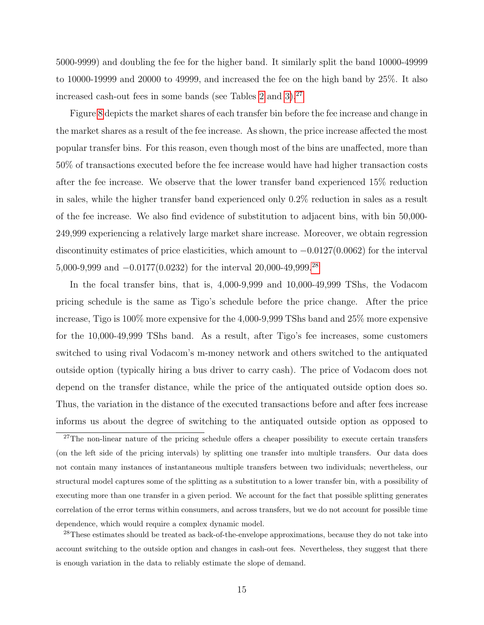5000-9999) and doubling the fee for the higher band. It similarly split the band 10000-49999 to 10000-19999 and 20000 to 49999, and increased the fee on the high band by 25%. It also increased cash-out fees in some bands (see Tables  $2$  and  $3$ ).<sup>[27](#page-14-0)</sup>

Figure [8](#page-48-1) depicts the market shares of each transfer bin before the fee increase and change in the market shares as a result of the fee increase. As shown, the price increase affected the most popular transfer bins. For this reason, even though most of the bins are unaffected, more than 50% of transactions executed before the fee increase would have had higher transaction costs after the fee increase. We observe that the lower transfer band experienced 15% reduction in sales, while the higher transfer band experienced only 0.2% reduction in sales as a result of the fee increase. We also find evidence of substitution to adjacent bins, with bin 50,000- 249,999 experiencing a relatively large market share increase. Moreover, we obtain regression discontinuity estimates of price elasticities, which amount to −0.0127(0.0062) for the interval 5,000-9,999 and −0.0177(0.0232) for the interval 20,000-49,999.[28](#page-14-1)

In the focal transfer bins, that is, 4,000-9,999 and 10,000-49,999 TShs, the Vodacom pricing schedule is the same as Tigo's schedule before the price change. After the price increase, Tigo is 100% more expensive for the 4,000-9,999 TShs band and 25% more expensive for the 10,000-49,999 TShs band. As a result, after Tigo's fee increases, some customers switched to using rival Vodacom's m-money network and others switched to the antiquated outside option (typically hiring a bus driver to carry cash). The price of Vodacom does not depend on the transfer distance, while the price of the antiquated outside option does so. Thus, the variation in the distance of the executed transactions before and after fees increase informs us about the degree of switching to the antiquated outside option as opposed to

<span id="page-14-1"></span> $^{28}$ These estimates should be treated as back-of-the-envelope approximations, because they do not take into account switching to the outside option and changes in cash-out fees. Nevertheless, they suggest that there is enough variation in the data to reliably estimate the slope of demand.

<span id="page-14-0"></span> $27$ The non-linear nature of the pricing schedule offers a cheaper possibility to execute certain transfers (on the left side of the pricing intervals) by splitting one transfer into multiple transfers. Our data does not contain many instances of instantaneous multiple transfers between two individuals; nevertheless, our structural model captures some of the splitting as a substitution to a lower transfer bin, with a possibility of executing more than one transfer in a given period. We account for the fact that possible splitting generates correlation of the error terms within consumers, and across transfers, but we do not account for possible time dependence, which would require a complex dynamic model.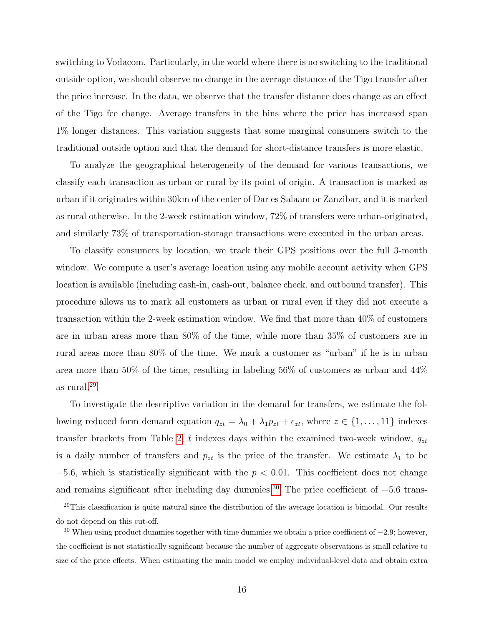switching to Vodacom. Particularly, in the world where there is no switching to the traditional outside option, we should observe no change in the average distance of the Tigo transfer after the price increase. In the data, we observe that the transfer distance does change as an effect of the Tigo fee change. Average transfers in the bins where the price has increased span 1% longer distances. This variation suggests that some marginal consumers switch to the traditional outside option and that the demand for short-distance transfers is more elastic.

To analyze the geographical heterogeneity of the demand for various transactions, we classify each transaction as urban or rural by its point of origin. A transaction is marked as urban if it originates within 30km of the center of Dar es Salaam or Zanzibar, and it is marked as rural otherwise. In the 2-week estimation window, 72% of transfers were urban-originated, and similarly 73% of transportation-storage transactions were executed in the urban areas.

To classify consumers by location, we track their GPS positions over the full 3-month window. We compute a user's average location using any mobile account activity when GPS location is available (including cash-in, cash-out, balance check, and outbound transfer). This procedure allows us to mark all customers as urban or rural even if they did not execute a transaction within the 2-week estimation window. We find that more than 40% of customers are in urban areas more than 80% of the time, while more than 35% of customers are in rural areas more than 80% of the time. We mark a customer as "urban" if he is in urban area more than 50% of the time, resulting in labeling 56% of customers as urban and 44% as rural.[29](#page-15-0)

To investigate the descriptive variation in the demand for transfers, we estimate the following reduced form demand equation  $q_{zt} = \lambda_0 + \lambda_1 p_{zt} + \epsilon_{zt}$ , where  $z \in \{1, ..., 11\}$  indexes transfer brackets from Table [2,](#page-44-0) t indexes days within the examined two-week window,  $q_{zt}$ is a daily number of transfers and  $p_{zt}$  is the price of the transfer. We estimate  $\lambda_1$  to be  $-5.6$ , which is statistically significant with the  $p < 0.01$ . This coefficient does not change and remains significant after including day dummies.<sup>[30](#page-15-1)</sup> The price coefficient of  $-5.6$  trans-

<span id="page-15-0"></span> $29$ This classification is quite natural since the distribution of the average location is bimodal. Our results do not depend on this cut-off.

<span id="page-15-1"></span><sup>&</sup>lt;sup>30</sup> When using product dummies together with time dummies we obtain a price coefficient of  $-2.9$ ; however, the coefficient is not statistically significant because the number of aggregate observations is small relative to size of the price effects. When estimating the main model we employ individual-level data and obtain extra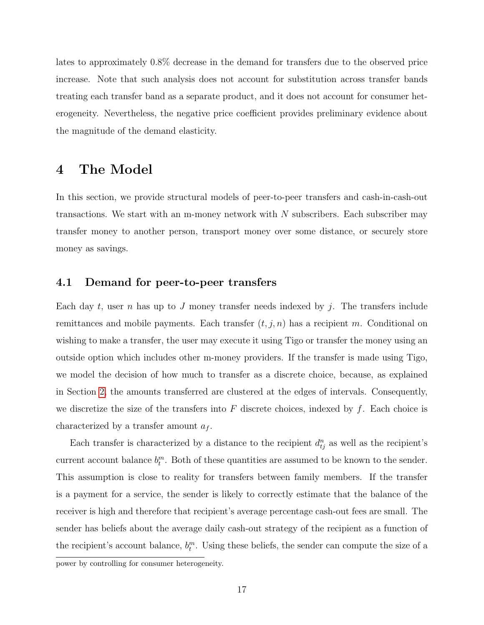lates to approximately 0.8% decrease in the demand for transfers due to the observed price increase. Note that such analysis does not account for substitution across transfer bands treating each transfer band as a separate product, and it does not account for consumer heterogeneity. Nevertheless, the negative price coefficient provides preliminary evidence about the magnitude of the demand elasticity.

## <span id="page-16-0"></span>4 The Model

In this section, we provide structural models of peer-to-peer transfers and cash-in-cash-out transactions. We start with an m-money network with  $N$  subscribers. Each subscriber may transfer money to another person, transport money over some distance, or securely store money as savings.

### 4.1 Demand for peer-to-peer transfers

Each day t, user n has up to J money transfer needs indexed by j. The transfers include remittances and mobile payments. Each transfer  $(t, j, n)$  has a recipient m. Conditional on wishing to make a transfer, the user may execute it using Tigo or transfer the money using an outside option which includes other m-money providers. If the transfer is made using Tigo, we model the decision of how much to transfer as a discrete choice, because, as explained in Section [2,](#page-8-2) the amounts transferred are clustered at the edges of intervals. Consequently, we discretize the size of the transfers into  $F$  discrete choices, indexed by  $f$ . Each choice is characterized by a transfer amount  $a_f$ .

Each transfer is characterized by a distance to the recipient  $d_{ij}^n$  as well as the recipient's current account balance  $b_t^m$ . Both of these quantities are assumed to be known to the sender. This assumption is close to reality for transfers between family members. If the transfer is a payment for a service, the sender is likely to correctly estimate that the balance of the receiver is high and therefore that recipient's average percentage cash-out fees are small. The sender has beliefs about the average daily cash-out strategy of the recipient as a function of the recipient's account balance,  $b_t^m$ . Using these beliefs, the sender can compute the size of a

power by controlling for consumer heterogeneity.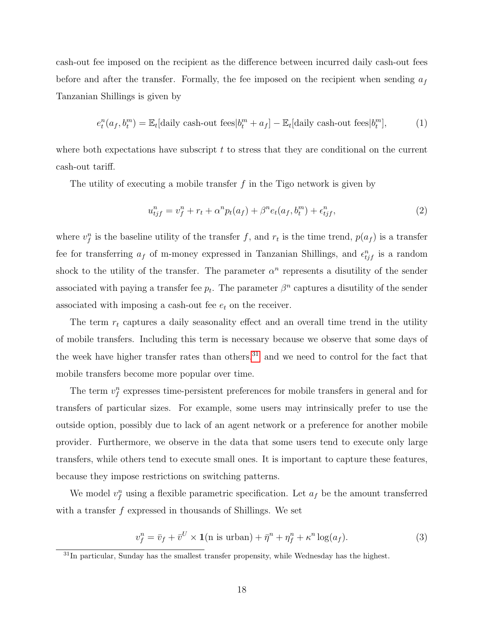cash-out fee imposed on the recipient as the difference between incurred daily cash-out fees before and after the transfer. Formally, the fee imposed on the recipient when sending  $a_f$ Tanzanian Shillings is given by

$$
e_t^n(a_f, b_t^m) = \mathbb{E}_t[\text{daily cash-out fees}|b_t^m + a_f] - \mathbb{E}_t[\text{daily cash-out fees}|b_t^m],\tag{1}
$$

where both expectations have subscript  $t$  to stress that they are conditional on the current cash-out tariff.

The utility of executing a mobile transfer  $f$  in the Tigo network is given by

<span id="page-17-1"></span>
$$
u_{tj}^{n} = v_{f}^{n} + r_{t} + \alpha^{n} p_{t}(a_{f}) + \beta^{n} e_{t}(a_{f}, b_{t}^{m}) + \epsilon_{tj}^{n}, \qquad (2)
$$

where  $v_f^n$  is the baseline utility of the transfer f, and  $r_t$  is the time trend,  $p(a_f)$  is a transfer fee for transferring  $a_f$  of m-money expressed in Tanzanian Shillings, and  $\epsilon_{tjf}^n$  is a random shock to the utility of the transfer. The parameter  $\alpha^n$  represents a disutility of the sender associated with paying a transfer fee  $p_t$ . The parameter  $\beta^n$  captures a disutility of the sender associated with imposing a cash-out fee  $e_t$  on the receiver.

The term  $r_t$  captures a daily seasonality effect and an overall time trend in the utility of mobile transfers. Including this term is necessary because we observe that some days of the week have higher transfer rates than others.<sup>[31](#page-17-0)</sup> and we need to control for the fact that mobile transfers become more popular over time.

The term  $v_f^n$  expresses time-persistent preferences for mobile transfers in general and for transfers of particular sizes. For example, some users may intrinsically prefer to use the outside option, possibly due to lack of an agent network or a preference for another mobile provider. Furthermore, we observe in the data that some users tend to execute only large transfers, while others tend to execute small ones. It is important to capture these features, because they impose restrictions on switching patterns.

We model  $v_f^n$  using a flexible parametric specification. Let  $a_f$  be the amount transferred with a transfer  $f$  expressed in thousands of Shillings. We set

<span id="page-17-2"></span>
$$
v_f^n = \bar{v}_f + \bar{v}^U \times \mathbf{1}(\text{n is urban}) + \bar{\eta}^n + \eta_f^n + \kappa^n \log(a_f). \tag{3}
$$

<span id="page-17-0"></span> $31$ In particular, Sunday has the smallest transfer propensity, while Wednesday has the highest.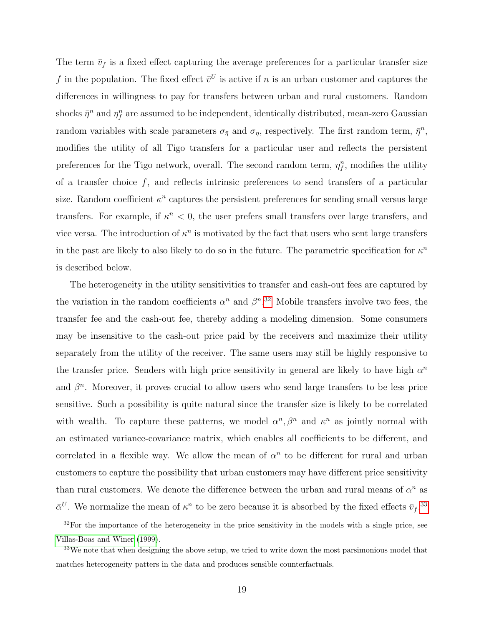The term  $\bar{v}_f$  is a fixed effect capturing the average preferences for a particular transfer size f in the population. The fixed effect  $\bar{v}^U$  is active if n is an urban customer and captures the differences in willingness to pay for transfers between urban and rural customers. Random shocks  $\bar{\eta}^n$  and  $\eta_f^n$  are assumed to be independent, identically distributed, mean-zero Gaussian random variables with scale parameters  $\sigma_{\bar{\eta}}$  and  $\sigma_{\eta}$ , respectively. The first random term,  $\bar{\eta}^n$ , modifies the utility of all Tigo transfers for a particular user and reflects the persistent preferences for the Tigo network, overall. The second random term,  $\eta_f^n$ , modifies the utility of a transfer choice  $f$ , and reflects intrinsic preferences to send transfers of a particular size. Random coefficient  $\kappa^n$  captures the persistent preferences for sending small versus large transfers. For example, if  $\kappa^n < 0$ , the user prefers small transfers over large transfers, and vice versa. The introduction of  $\kappa^n$  is motivated by the fact that users who sent large transfers in the past are likely to also likely to do so in the future. The parametric specification for  $\kappa^n$ is described below.

The heterogeneity in the utility sensitivities to transfer and cash-out fees are captured by the variation in the random coefficients  $\alpha^n$  and  $\beta^{n}$ .<sup>[32](#page-18-0)</sup> Mobile transfers involve two fees, the transfer fee and the cash-out fee, thereby adding a modeling dimension. Some consumers may be insensitive to the cash-out price paid by the receivers and maximize their utility separately from the utility of the receiver. The same users may still be highly responsive to the transfer price. Senders with high price sensitivity in general are likely to have high  $\alpha^n$ and  $\beta^n$ . Moreover, it proves crucial to allow users who send large transfers to be less price sensitive. Such a possibility is quite natural since the transfer size is likely to be correlated with wealth. To capture these patterns, we model  $\alpha^n, \beta^n$  and  $\kappa^n$  as jointly normal with an estimated variance-covariance matrix, which enables all coefficients to be different, and correlated in a flexible way. We allow the mean of  $\alpha^n$  to be different for rural and urban customers to capture the possibility that urban customers may have different price sensitivity than rural customers. We denote the difference between the urban and rural means of  $\alpha^n$  as  $\bar{\alpha}^U$ . We normalize the mean of  $\kappa^n$  to be zero because it is absorbed by the fixed effects  $\bar{v}_f$ .<sup>[33](#page-18-1)</sup>

<span id="page-18-0"></span> $32$ For the importance of the heterogeneity in the price sensitivity in the models with a single price, see [Villas-Boas and Winer](#page-42-4) [\(1999\)](#page-42-4).

<span id="page-18-1"></span><sup>&</sup>lt;sup>33</sup>We note that when designing the above setup, we tried to write down the most parsimonious model that matches heterogeneity patters in the data and produces sensible counterfactuals.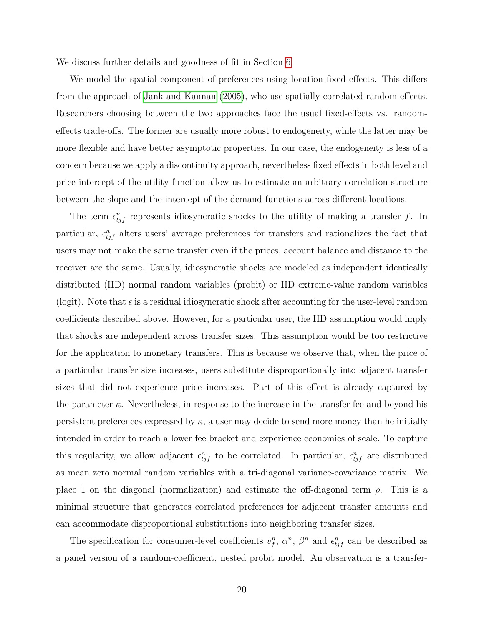We discuss further details and goodness of fit in Section [6.](#page-24-0)

We model the spatial component of preferences using location fixed effects. This differs from the approach of [Jank and Kannan](#page-39-7) [\(2005\)](#page-39-7), who use spatially correlated random effects. Researchers choosing between the two approaches face the usual fixed-effects vs. randomeffects trade-offs. The former are usually more robust to endogeneity, while the latter may be more flexible and have better asymptotic properties. In our case, the endogeneity is less of a concern because we apply a discontinuity approach, nevertheless fixed effects in both level and price intercept of the utility function allow us to estimate an arbitrary correlation structure between the slope and the intercept of the demand functions across different locations.

The term  $\epsilon_{tj}^{n}$  represents idiosyncratic shocks to the utility of making a transfer f. In particular,  $\epsilon_{ij}^n$  alters users' average preferences for transfers and rationalizes the fact that users may not make the same transfer even if the prices, account balance and distance to the receiver are the same. Usually, idiosyncratic shocks are modeled as independent identically distributed (IID) normal random variables (probit) or IID extreme-value random variables (logit). Note that  $\epsilon$  is a residual idiosyncratic shock after accounting for the user-level random coefficients described above. However, for a particular user, the IID assumption would imply that shocks are independent across transfer sizes. This assumption would be too restrictive for the application to monetary transfers. This is because we observe that, when the price of a particular transfer size increases, users substitute disproportionally into adjacent transfer sizes that did not experience price increases. Part of this effect is already captured by the parameter  $\kappa$ . Nevertheless, in response to the increase in the transfer fee and beyond his persistent preferences expressed by  $\kappa$ , a user may decide to send more money than he initially intended in order to reach a lower fee bracket and experience economies of scale. To capture this regularity, we allow adjacent  $\epsilon_{tj}^{n}$  to be correlated. In particular,  $\epsilon_{tj}^{n}$  are distributed as mean zero normal random variables with a tri-diagonal variance-covariance matrix. We place 1 on the diagonal (normalization) and estimate the off-diagonal term  $\rho$ . This is a minimal structure that generates correlated preferences for adjacent transfer amounts and can accommodate disproportional substitutions into neighboring transfer sizes.

The specification for consumer-level coefficients  $v_f^n$ ,  $\alpha^n$ ,  $\beta^n$  and  $\epsilon_{tj}^n$  can be described as a panel version of a random-coefficient, nested probit model. An observation is a transfer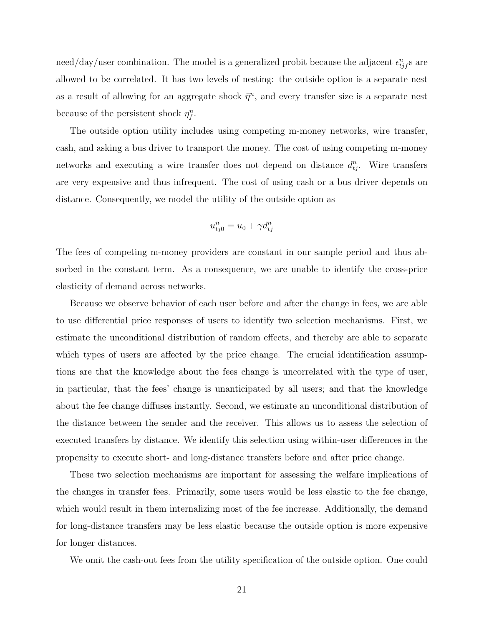need/day/user combination. The model is a generalized probit because the adjacent  $\epsilon_{t j f}^{n}$ s are allowed to be correlated. It has two levels of nesting: the outside option is a separate nest as a result of allowing for an aggregate shock  $\bar{\eta}^n$ , and every transfer size is a separate nest because of the persistent shock  $\eta_f^n$ .

The outside option utility includes using competing m-money networks, wire transfer, cash, and asking a bus driver to transport the money. The cost of using competing m-money networks and executing a wire transfer does not depend on distance  $d_{ij}^n$ . Wire transfers are very expensive and thus infrequent. The cost of using cash or a bus driver depends on distance. Consequently, we model the utility of the outside option as

$$
u_{tj0}^n = u_0 + \gamma d_{tj}^n
$$

The fees of competing m-money providers are constant in our sample period and thus absorbed in the constant term. As a consequence, we are unable to identify the cross-price elasticity of demand across networks.

Because we observe behavior of each user before and after the change in fees, we are able to use differential price responses of users to identify two selection mechanisms. First, we estimate the unconditional distribution of random effects, and thereby are able to separate which types of users are affected by the price change. The crucial identification assumptions are that the knowledge about the fees change is uncorrelated with the type of user, in particular, that the fees' change is unanticipated by all users; and that the knowledge about the fee change diffuses instantly. Second, we estimate an unconditional distribution of the distance between the sender and the receiver. This allows us to assess the selection of executed transfers by distance. We identify this selection using within-user differences in the propensity to execute short- and long-distance transfers before and after price change.

These two selection mechanisms are important for assessing the welfare implications of the changes in transfer fees. Primarily, some users would be less elastic to the fee change, which would result in them internalizing most of the fee increase. Additionally, the demand for long-distance transfers may be less elastic because the outside option is more expensive for longer distances.

We omit the cash-out fees from the utility specification of the outside option. One could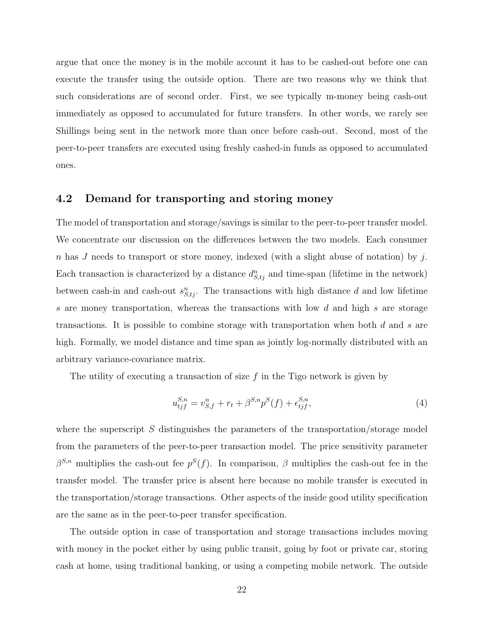argue that once the money is in the mobile account it has to be cashed-out before one can execute the transfer using the outside option. There are two reasons why we think that such considerations are of second order. First, we see typically m-money being cash-out immediately as opposed to accumulated for future transfers. In other words, we rarely see Shillings being sent in the network more than once before cash-out. Second, most of the peer-to-peer transfers are executed using freshly cashed-in funds as opposed to accumulated ones.

#### 4.2 Demand for transporting and storing money

The model of transportation and storage/savings is similar to the peer-to-peer transfer model. We concentrate our discussion on the differences between the two models. Each consumer n has J needs to transport or store money, indexed (with a slight abuse of notation) by j. Each transaction is characterized by a distance  $d_{S,ij}^n$  and time-span (lifetime in the network) between cash-in and cash-out  $s_{S,tj}^n$ . The transactions with high distance d and low lifetime s are money transportation, whereas the transactions with low d and high s are storage transactions. It is possible to combine storage with transportation when both d and s are high. Formally, we model distance and time span as jointly log-normally distributed with an arbitrary variance-covariance matrix.

The utility of executing a transaction of size  $f$  in the Tigo network is given by

$$
u_{tjf}^{S,n} = v_{S,f}^n + r_t + \beta^{S,n} p^S(f) + \epsilon_{tjf}^{S,n},\tag{4}
$$

where the superscript  $S$  distinguishes the parameters of the transportation/storage model from the parameters of the peer-to-peer transaction model. The price sensitivity parameter  $\beta^{S,n}$  multiplies the cash-out fee  $p^S(f)$ . In comparison,  $\beta$  multiplies the cash-out fee in the transfer model. The transfer price is absent here because no mobile transfer is executed in the transportation/storage transactions. Other aspects of the inside good utility specification are the same as in the peer-to-peer transfer specification.

The outside option in case of transportation and storage transactions includes moving with money in the pocket either by using public transit, going by foot or private car, storing cash at home, using traditional banking, or using a competing mobile network. The outside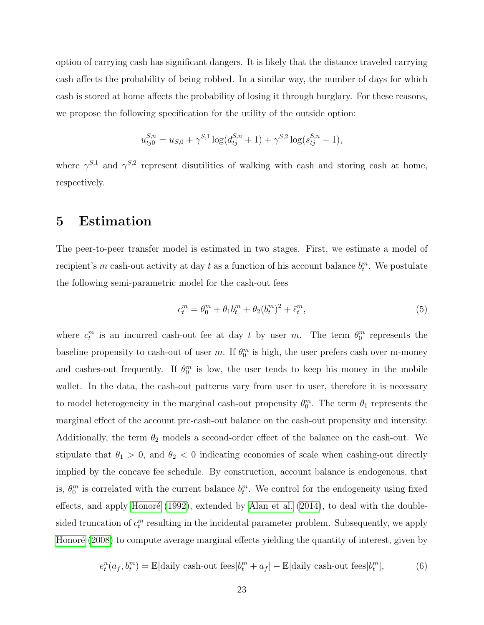option of carrying cash has significant dangers. It is likely that the distance traveled carrying cash affects the probability of being robbed. In a similar way, the number of days for which cash is stored at home affects the probability of losing it through burglary. For these reasons, we propose the following specification for the utility of the outside option:

$$
u_{tj0}^{S,n} = u_{S,0} + \gamma^{S,1} \log(d_{tj}^{S,n} + 1) + \gamma^{S,2} \log(s_{tj}^{S,n} + 1),
$$

where  $\gamma^{S,1}$  and  $\gamma^{S,2}$  represent disutilities of walking with cash and storing cash at home, respectively.

## 5 Estimation

The peer-to-peer transfer model is estimated in two stages. First, we estimate a model of recipient's m cash-out activity at day t as a function of his account balance  $b_t^m$ . We postulate the following semi-parametric model for the cash-out fees

<span id="page-22-0"></span>
$$
c_t^m = \theta_0^m + \theta_1 b_t^m + \theta_2 (b_t^m)^2 + \tilde{\epsilon}_t^m,
$$
\n(5)

where  $c_t^m$  is an incurred cash-out fee at day t by user m. The term  $\theta_0^m$  represents the baseline propensity to cash-out of user m. If  $\theta_0^m$  is high, the user prefers cash over m-money and cashes-out frequently. If  $\theta_0^m$  is low, the user tends to keep his money in the mobile wallet. In the data, the cash-out patterns vary from user to user, therefore it is necessary to model heterogeneity in the marginal cash-out propensity  $\theta_0^m$ . The term  $\theta_1$  represents the marginal effect of the account pre-cash-out balance on the cash-out propensity and intensity. Additionally, the term  $\theta_2$  models a second-order effect of the balance on the cash-out. We stipulate that  $\theta_1 > 0$ , and  $\theta_2 < 0$  indicating economies of scale when cashing-out directly implied by the concave fee schedule. By construction, account balance is endogenous, that is,  $\theta_0^m$  is correlated with the current balance  $b_t^m$ . We control for the endogeneity using fixed effects, and apply Honoré  $(1992)$ , extended by [Alan et al.](#page-38-10)  $(2014)$ , to deal with the doublesided truncation of  $c_t^m$  resulting in the incidental parameter problem. Subsequently, we apply Honoré [\(2008\)](#page-39-9) to compute average marginal effects yielding the quantity of interest, given by

$$
e_t^n(a_f, b_t^m) = \mathbb{E}[\text{daily cash-out fees}|b_t^m + a_f] - \mathbb{E}[\text{daily cash-out fees}|b_t^m],\tag{6}
$$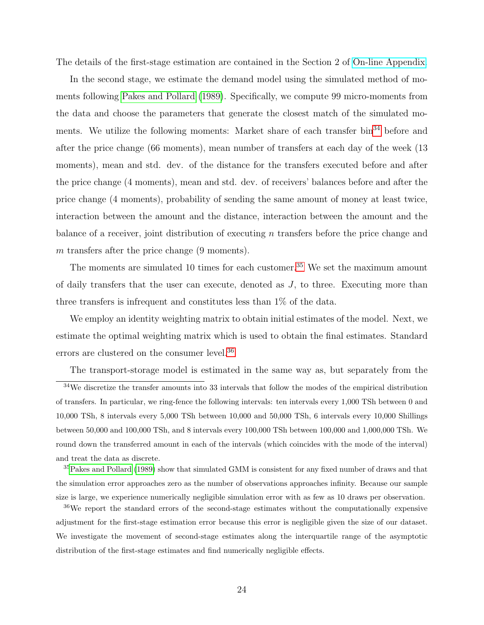The details of the first-stage estimation are contained in the Section 2 of [On-line Appendix.](http://www.stern.nyu.edu/networks/Mobile_Money_Appendix.pdf)

In the second stage, we estimate the demand model using the simulated method of moments following [Pakes and Pollard](#page-41-9) [\(1989\)](#page-41-9). Specifically, we compute 99 micro-moments from the data and choose the parameters that generate the closest match of the simulated mo-ments. We utilize the following moments: Market share of each transfer bin<sup>[34](#page-23-0)</sup> before and after the price change (66 moments), mean number of transfers at each day of the week (13 moments), mean and std. dev. of the distance for the transfers executed before and after the price change (4 moments), mean and std. dev. of receivers' balances before and after the price change (4 moments), probability of sending the same amount of money at least twice, interaction between the amount and the distance, interaction between the amount and the balance of a receiver, joint distribution of executing  $n$  transfers before the price change and  $m$  transfers after the price change  $(9 \text{ moments})$ .

The moments are simulated 10 times for each customer.<sup>[35](#page-23-1)</sup> We set the maximum amount of daily transfers that the user can execute, denoted as J, to three. Executing more than three transfers is infrequent and constitutes less than 1% of the data.

We employ an identity weighting matrix to obtain initial estimates of the model. Next, we estimate the optimal weighting matrix which is used to obtain the final estimates. Standard errors are clustered on the consumer level.  $^{36}$  $^{36}$  $^{36}$ 

<span id="page-23-0"></span>The transport-storage model is estimated in the same way as, but separately from the

 $34$ We discretize the transfer amounts into 33 intervals that follow the modes of the empirical distribution of transfers. In particular, we ring-fence the following intervals: ten intervals every 1,000 TSh between 0 and 10,000 TSh, 8 intervals every 5,000 TSh between 10,000 and 50,000 TSh, 6 intervals every 10,000 Shillings between 50,000 and 100,000 TSh, and 8 intervals every 100,000 TSh between 100,000 and 1,000,000 TSh. We round down the transferred amount in each of the intervals (which coincides with the mode of the interval) and treat the data as discrete.

<span id="page-23-1"></span><sup>35</sup>[Pakes and Pollard](#page-41-9) [\(1989\)](#page-41-9) show that simulated GMM is consistent for any fixed number of draws and that the simulation error approaches zero as the number of observations approaches infinity. Because our sample size is large, we experience numerically negligible simulation error with as few as 10 draws per observation.

<span id="page-23-2"></span><sup>&</sup>lt;sup>36</sup>We report the standard errors of the second-stage estimates without the computationally expensive adjustment for the first-stage estimation error because this error is negligible given the size of our dataset. We investigate the movement of second-stage estimates along the interquartile range of the asymptotic distribution of the first-stage estimates and find numerically negligible effects.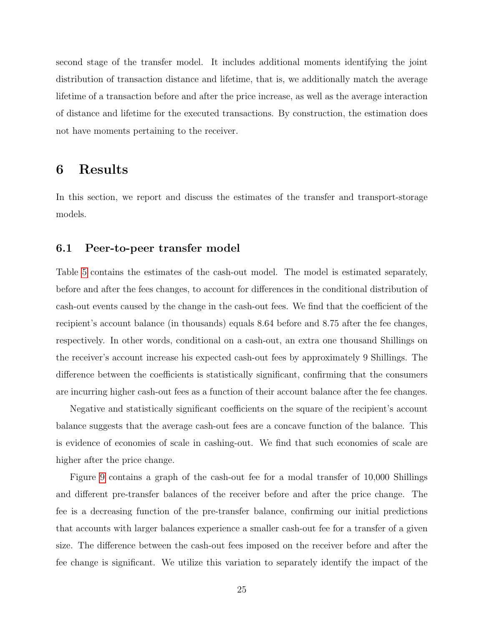second stage of the transfer model. It includes additional moments identifying the joint distribution of transaction distance and lifetime, that is, we additionally match the average lifetime of a transaction before and after the price increase, as well as the average interaction of distance and lifetime for the executed transactions. By construction, the estimation does not have moments pertaining to the receiver.

## <span id="page-24-0"></span>6 Results

In this section, we report and discuss the estimates of the transfer and transport-storage models.

### 6.1 Peer-to-peer transfer model

Table [5](#page-48-2) contains the estimates of the cash-out model. The model is estimated separately, before and after the fees changes, to account for differences in the conditional distribution of cash-out events caused by the change in the cash-out fees. We find that the coefficient of the recipient's account balance (in thousands) equals 8.64 before and 8.75 after the fee changes, respectively. In other words, conditional on a cash-out, an extra one thousand Shillings on the receiver's account increase his expected cash-out fees by approximately 9 Shillings. The difference between the coefficients is statistically significant, confirming that the consumers are incurring higher cash-out fees as a function of their account balance after the fee changes.

Negative and statistically significant coefficients on the square of the recipient's account balance suggests that the average cash-out fees are a concave function of the balance. This is evidence of economies of scale in cashing-out. We find that such economies of scale are higher after the price change.

Figure [9](#page-49-0) contains a graph of the cash-out fee for a modal transfer of 10,000 Shillings and different pre-transfer balances of the receiver before and after the price change. The fee is a decreasing function of the pre-transfer balance, confirming our initial predictions that accounts with larger balances experience a smaller cash-out fee for a transfer of a given size. The difference between the cash-out fees imposed on the receiver before and after the fee change is significant. We utilize this variation to separately identify the impact of the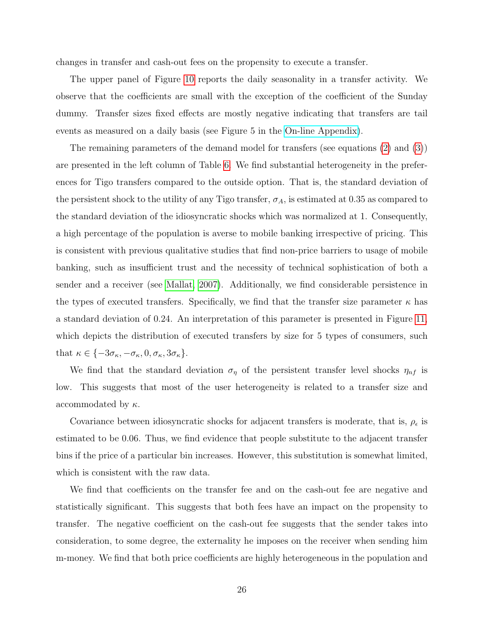changes in transfer and cash-out fees on the propensity to execute a transfer.

The upper panel of Figure [10](#page-49-1) reports the daily seasonality in a transfer activity. We observe that the coefficients are small with the exception of the coefficient of the Sunday dummy. Transfer sizes fixed effects are mostly negative indicating that transfers are tail events as measured on a daily basis (see Figure 5 in the [On-line Appendix\)](http://www.stern.nyu.edu/networks/Mobile_Money_Appendix.pdf).

The remaining parameters of the demand model for transfers (see equations [\(2\)](#page-17-1) and [\(3\)](#page-17-2)) are presented in the left column of Table [6.](#page-50-0) We find substantial heterogeneity in the preferences for Tigo transfers compared to the outside option. That is, the standard deviation of the persistent shock to the utility of any Tigo transfer,  $\sigma_A$ , is estimated at 0.35 as compared to the standard deviation of the idiosyncratic shocks which was normalized at 1. Consequently, a high percentage of the population is averse to mobile banking irrespective of pricing. This is consistent with previous qualitative studies that find non-price barriers to usage of mobile banking, such as insufficient trust and the necessity of technical sophistication of both a sender and a receiver (see [Mallat, 2007\)](#page-40-9). Additionally, we find considerable persistence in the types of executed transfers. Specifically, we find that the transfer size parameter  $\kappa$  has a standard deviation of 0.24. An interpretation of this parameter is presented in Figure [11,](#page-51-0) which depicts the distribution of executed transfers by size for 5 types of consumers, such that  $\kappa \in \{-3\sigma_{\kappa}, -\sigma_{\kappa}, 0, \sigma_{\kappa}, 3\sigma_{\kappa}\}.$ 

We find that the standard deviation  $\sigma_{\eta}$  of the persistent transfer level shocks  $\eta_{nf}$  is low. This suggests that most of the user heterogeneity is related to a transfer size and accommodated by  $\kappa$ .

Covariance between idiosyncratic shocks for adjacent transfers is moderate, that is,  $\rho_{\epsilon}$  is estimated to be 0.06. Thus, we find evidence that people substitute to the adjacent transfer bins if the price of a particular bin increases. However, this substitution is somewhat limited, which is consistent with the raw data.

We find that coefficients on the transfer fee and on the cash-out fee are negative and statistically significant. This suggests that both fees have an impact on the propensity to transfer. The negative coefficient on the cash-out fee suggests that the sender takes into consideration, to some degree, the externality he imposes on the receiver when sending him m-money. We find that both price coefficients are highly heterogeneous in the population and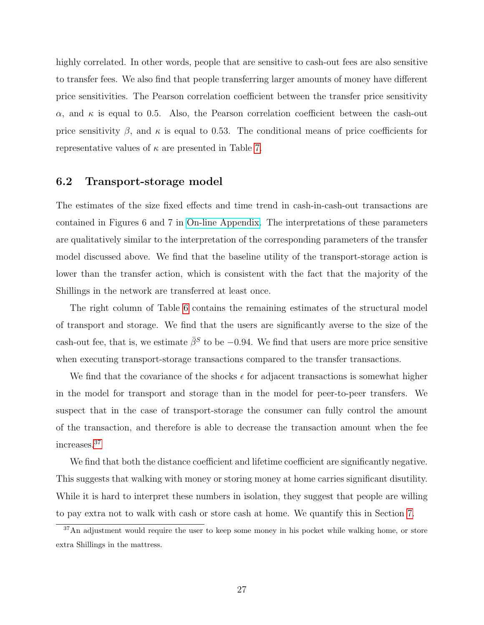highly correlated. In other words, people that are sensitive to cash-out fees are also sensitive to transfer fees. We also find that people transferring larger amounts of money have different price sensitivities. The Pearson correlation coefficient between the transfer price sensitivity  $\alpha$ , and  $\kappa$  is equal to 0.5. Also, the Pearson correlation coefficient between the cash-out price sensitivity  $\beta$ , and  $\kappa$  is equal to 0.53. The conditional means of price coefficients for representative values of  $\kappa$  are presented in Table [7.](#page-52-0)

### 6.2 Transport-storage model

The estimates of the size fixed effects and time trend in cash-in-cash-out transactions are contained in Figures 6 and 7 in [On-line Appendix.](http://www.stern.nyu.edu/networks/Mobile_Money_Appendix.pdf) The interpretations of these parameters are qualitatively similar to the interpretation of the corresponding parameters of the transfer model discussed above. We find that the baseline utility of the transport-storage action is lower than the transfer action, which is consistent with the fact that the majority of the Shillings in the network are transferred at least once.

The right column of Table [6](#page-50-0) contains the remaining estimates of the structural model of transport and storage. We find that the users are significantly averse to the size of the cash-out fee, that is, we estimate  $\bar{\beta}^S$  to be -0.94. We find that users are more price sensitive when executing transport-storage transactions compared to the transfer transactions.

We find that the covariance of the shocks  $\epsilon$  for adjacent transactions is somewhat higher in the model for transport and storage than in the model for peer-to-peer transfers. We suspect that in the case of transport-storage the consumer can fully control the amount of the transaction, and therefore is able to decrease the transaction amount when the fee increases.[37](#page-26-0)

We find that both the distance coefficient and lifetime coefficient are significantly negative. This suggests that walking with money or storing money at home carries significant disutility. While it is hard to interpret these numbers in isolation, they suggest that people are willing to pay extra not to walk with cash or store cash at home. We quantify this in Section [7.](#page-29-0)

<span id="page-26-0"></span><sup>&</sup>lt;sup>37</sup>An adjustment would require the user to keep some money in his pocket while walking home, or store extra Shillings in the mattress.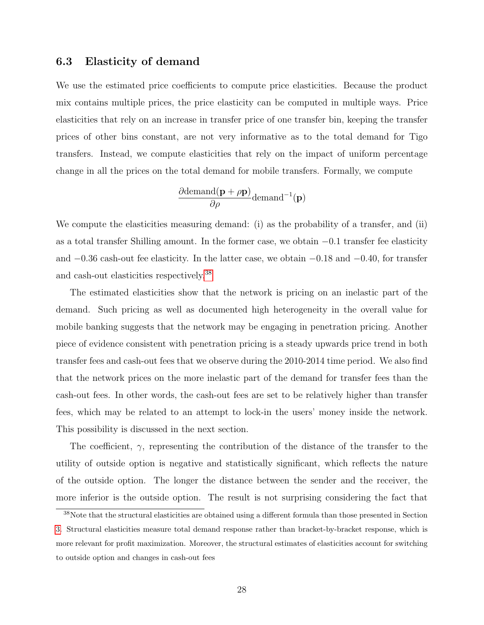#### 6.3 Elasticity of demand

We use the estimated price coefficients to compute price elasticities. Because the product mix contains multiple prices, the price elasticity can be computed in multiple ways. Price elasticities that rely on an increase in transfer price of one transfer bin, keeping the transfer prices of other bins constant, are not very informative as to the total demand for Tigo transfers. Instead, we compute elasticities that rely on the impact of uniform percentage change in all the prices on the total demand for mobile transfers. Formally, we compute

$$
\frac{\partial \text{demand}(\mathbf{p} + \rho \mathbf{p})}{\partial \rho} \text{demand}^{-1}(\mathbf{p})
$$

We compute the elasticities measuring demand: (i) as the probability of a transfer, and (ii) as a total transfer Shilling amount. In the former case, we obtain −0.1 transfer fee elasticity and −0.36 cash-out fee elasticity. In the latter case, we obtain −0.18 and −0.40, for transfer and cash-out elasticities respectively.[38](#page-27-0)

The estimated elasticities show that the network is pricing on an inelastic part of the demand. Such pricing as well as documented high heterogeneity in the overall value for mobile banking suggests that the network may be engaging in penetration pricing. Another piece of evidence consistent with penetration pricing is a steady upwards price trend in both transfer fees and cash-out fees that we observe during the 2010-2014 time period. We also find that the network prices on the more inelastic part of the demand for transfer fees than the cash-out fees. In other words, the cash-out fees are set to be relatively higher than transfer fees, which may be related to an attempt to lock-in the users' money inside the network. This possibility is discussed in the next section.

The coefficient,  $\gamma$ , representing the contribution of the distance of the transfer to the utility of outside option is negative and statistically significant, which reflects the nature of the outside option. The longer the distance between the sender and the receiver, the more inferior is the outside option. The result is not surprising considering the fact that

<span id="page-27-0"></span><sup>38</sup>Note that the structural elasticities are obtained using a different formula than those presented in Section [3.](#page-10-0) Structural elasticities measure total demand response rather than bracket-by-bracket response, which is more relevant for profit maximization. Moreover, the structural estimates of elasticities account for switching to outside option and changes in cash-out fees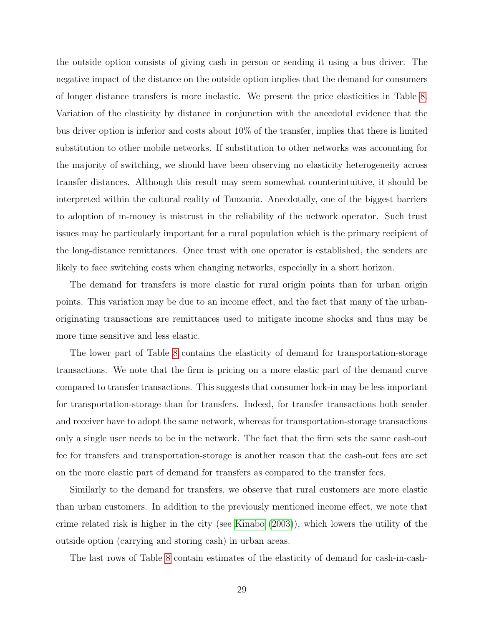the outside option consists of giving cash in person or sending it using a bus driver. The negative impact of the distance on the outside option implies that the demand for consumers of longer distance transfers is more inelastic. We present the price elasticities in Table [8.](#page-52-1) Variation of the elasticity by distance in conjunction with the anecdotal evidence that the bus driver option is inferior and costs about 10% of the transfer, implies that there is limited substitution to other mobile networks. If substitution to other networks was accounting for the majority of switching, we should have been observing no elasticity heterogeneity across transfer distances. Although this result may seem somewhat counterintuitive, it should be interpreted within the cultural reality of Tanzania. Anecdotally, one of the biggest barriers to adoption of m-money is mistrust in the reliability of the network operator. Such trust issues may be particularly important for a rural population which is the primary recipient of the long-distance remittances. Once trust with one operator is established, the senders are likely to face switching costs when changing networks, especially in a short horizon.

The demand for transfers is more elastic for rural origin points than for urban origin points. This variation may be due to an income effect, and the fact that many of the urbanoriginating transactions are remittances used to mitigate income shocks and thus may be more time sensitive and less elastic.

The lower part of Table [8](#page-52-1) contains the elasticity of demand for transportation-storage transactions. We note that the firm is pricing on a more elastic part of the demand curve compared to transfer transactions. This suggests that consumer lock-in may be less important for transportation-storage than for transfers. Indeed, for transfer transactions both sender and receiver have to adopt the same network, whereas for transportation-storage transactions only a single user needs to be in the network. The fact that the firm sets the same cash-out fee for transfers and transportation-storage is another reason that the cash-out fees are set on the more elastic part of demand for transfers as compared to the transfer fees.

Similarly to the demand for transfers, we observe that rural customers are more elastic than urban customers. In addition to the previously mentioned income effect, we note that crime related risk is higher in the city (see [Kinabo](#page-40-5) [\(2003\)](#page-40-5)), which lowers the utility of the outside option (carrying and storing cash) in urban areas.

The last rows of Table [8](#page-52-1) contain estimates of the elasticity of demand for cash-in-cash-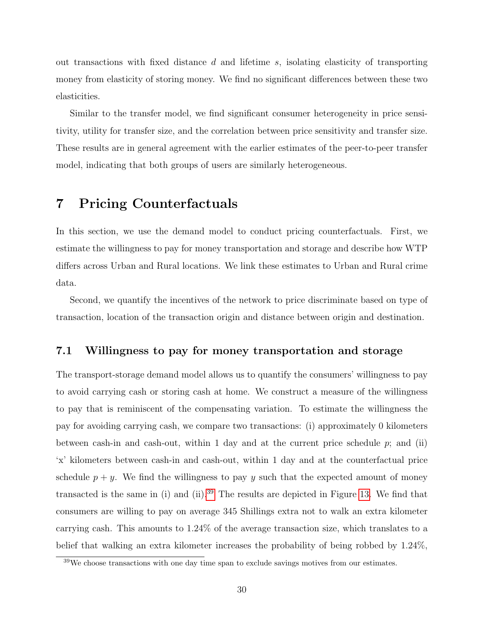out transactions with fixed distance  $d$  and lifetime  $s$ , isolating elasticity of transporting money from elasticity of storing money. We find no significant differences between these two elasticities.

Similar to the transfer model, we find significant consumer heterogeneity in price sensitivity, utility for transfer size, and the correlation between price sensitivity and transfer size. These results are in general agreement with the earlier estimates of the peer-to-peer transfer model, indicating that both groups of users are similarly heterogeneous.

## <span id="page-29-0"></span>7 Pricing Counterfactuals

In this section, we use the demand model to conduct pricing counterfactuals. First, we estimate the willingness to pay for money transportation and storage and describe how WTP differs across Urban and Rural locations. We link these estimates to Urban and Rural crime data.

Second, we quantify the incentives of the network to price discriminate based on type of transaction, location of the transaction origin and distance between origin and destination.

### 7.1 Willingness to pay for money transportation and storage

The transport-storage demand model allows us to quantify the consumers' willingness to pay to avoid carrying cash or storing cash at home. We construct a measure of the willingness to pay that is reminiscent of the compensating variation. To estimate the willingness the pay for avoiding carrying cash, we compare two transactions: (i) approximately 0 kilometers between cash-in and cash-out, within 1 day and at the current price schedule  $p$ ; and (ii) 'x' kilometers between cash-in and cash-out, within 1 day and at the counterfactual price schedule  $p + y$ . We find the willingness to pay y such that the expected amount of money transacted is the same in (i) and (ii).<sup>[39](#page-29-1)</sup> The results are depicted in Figure [13.](#page-53-0) We find that consumers are willing to pay on average 345 Shillings extra not to walk an extra kilometer carrying cash. This amounts to 1.24% of the average transaction size, which translates to a belief that walking an extra kilometer increases the probability of being robbed by 1.24%,

<span id="page-29-1"></span><sup>&</sup>lt;sup>39</sup>We choose transactions with one day time span to exclude savings motives from our estimates.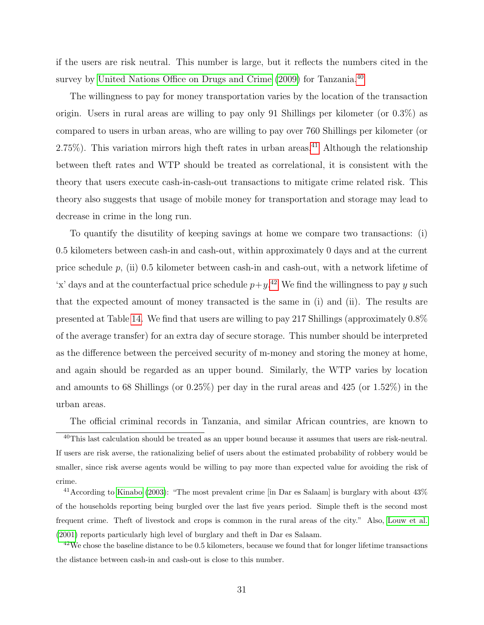if the users are risk neutral. This number is large, but it reflects the numbers cited in the survey by [United Nations Office on Drugs and Crime](#page-42-1) [\(2009\)](#page-42-1) for Tanzania.<sup>[40](#page-30-0)</sup>

The willingness to pay for money transportation varies by the location of the transaction origin. Users in rural areas are willing to pay only 91 Shillings per kilometer (or 0.3%) as compared to users in urban areas, who are willing to pay over 760 Shillings per kilometer (or 2.75%). This variation mirrors high theft rates in urban areas.<sup>[41](#page-30-1)</sup> Although the relationship between theft rates and WTP should be treated as correlational, it is consistent with the theory that users execute cash-in-cash-out transactions to mitigate crime related risk. This theory also suggests that usage of mobile money for transportation and storage may lead to decrease in crime in the long run.

To quantify the disutility of keeping savings at home we compare two transactions: (i) 0.5 kilometers between cash-in and cash-out, within approximately 0 days and at the current price schedule  $p$ , (ii) 0.5 kilometer between cash-in and cash-out, with a network lifetime of 'x' days and at the counterfactual price schedule  $p+y$ <sup>[42](#page-30-2)</sup> We find the willingness to pay y such that the expected amount of money transacted is the same in (i) and (ii). The results are presented at Table [14.](#page-54-0) We find that users are willing to pay 217 Shillings (approximately 0.8% of the average transfer) for an extra day of secure storage. This number should be interpreted as the difference between the perceived security of m-money and storing the money at home, and again should be regarded as an upper bound. Similarly, the WTP varies by location and amounts to 68 Shillings (or 0.25%) per day in the rural areas and 425 (or 1.52%) in the urban areas.

<span id="page-30-0"></span>The official criminal records in Tanzania, and similar African countries, are known to

 $40$ This last calculation should be treated as an upper bound because it assumes that users are risk-neutral. If users are risk averse, the rationalizing belief of users about the estimated probability of robbery would be smaller, since risk averse agents would be willing to pay more than expected value for avoiding the risk of crime.

<span id="page-30-1"></span> $41$ According to [Kinabo](#page-40-5) [\(2003\)](#page-40-5): "The most prevalent crime [in Dar es Salaam] is burglary with about  $43\%$ of the households reporting being burgled over the last five years period. Simple theft is the second most frequent crime. Theft of livestock and crops is common in the rural areas of the city." Also, [Louw et al.](#page-40-6) [\(2001\)](#page-40-6) reports particularly high level of burglary and theft in Dar es Salaam.

<span id="page-30-2"></span> $42$ We chose the baseline distance to be 0.5 kilometers, because we found that for longer lifetime transactions the distance between cash-in and cash-out is close to this number.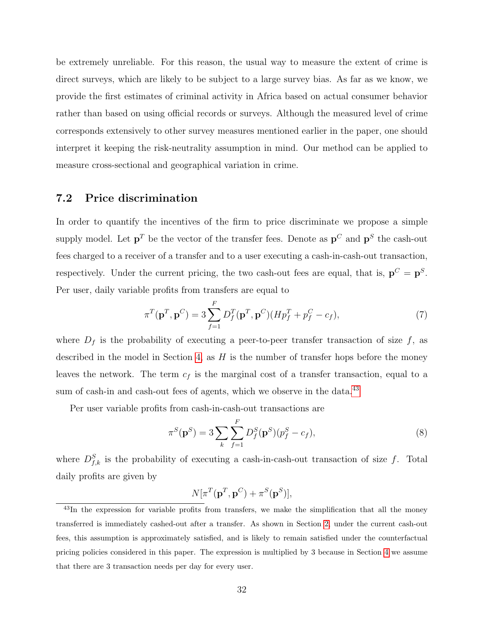be extremely unreliable. For this reason, the usual way to measure the extent of crime is direct surveys, which are likely to be subject to a large survey bias. As far as we know, we provide the first estimates of criminal activity in Africa based on actual consumer behavior rather than based on using official records or surveys. Although the measured level of crime corresponds extensively to other survey measures mentioned earlier in the paper, one should interpret it keeping the risk-neutrality assumption in mind. Our method can be applied to measure cross-sectional and geographical variation in crime.

#### 7.2 Price discrimination

In order to quantify the incentives of the firm to price discriminate we propose a simple supply model. Let  $p^T$  be the vector of the transfer fees. Denote as  $p^C$  and  $p^S$  the cash-out fees charged to a receiver of a transfer and to a user executing a cash-in-cash-out transaction, respectively. Under the current pricing, the two cash-out fees are equal, that is,  $p^C = p^S$ . Per user, daily variable profits from transfers are equal to

$$
\pi^T(\mathbf{p}^T, \mathbf{p}^C) = 3 \sum_{f=1}^F D_f^T(\mathbf{p}^T, \mathbf{p}^C) (H p_f^T + p_f^C - c_f),\tag{7}
$$

where  $D_f$  is the probability of executing a peer-to-peer transfer transaction of size f, as described in the model in Section [4,](#page-16-0) as  $H$  is the number of transfer hops before the money leaves the network. The term  $c_f$  is the marginal cost of a transfer transaction, equal to a sum of cash-in and cash-out fees of agents, which we observe in the data.<sup>[43](#page-31-0)</sup>

Per user variable profits from cash-in-cash-out transactions are

$$
\pi^{S}(\mathbf{p}^{S}) = 3 \sum_{k} \sum_{f=1}^{F} D_{f}^{S}(\mathbf{p}^{S})(p_{f}^{S} - c_{f}),
$$
\n(8)

where  $D_{f,k}^{S}$  is the probability of executing a cash-in-cash-out transaction of size f. Total daily profits are given by

$$
N[\pi^T(\mathbf{p}^T, \mathbf{p}^C) + \pi^S(\mathbf{p}^S)],
$$

<span id="page-31-0"></span><sup>&</sup>lt;sup>43</sup>In the expression for variable profits from transfers, we make the simplification that all the money transferred is immediately cashed-out after a transfer. As shown in Section [2,](#page-8-2) under the current cash-out fees, this assumption is approximately satisfied, and is likely to remain satisfied under the counterfactual pricing policies considered in this paper. The expression is multiplied by 3 because in Section [4](#page-16-0) we assume that there are 3 transaction needs per day for every user.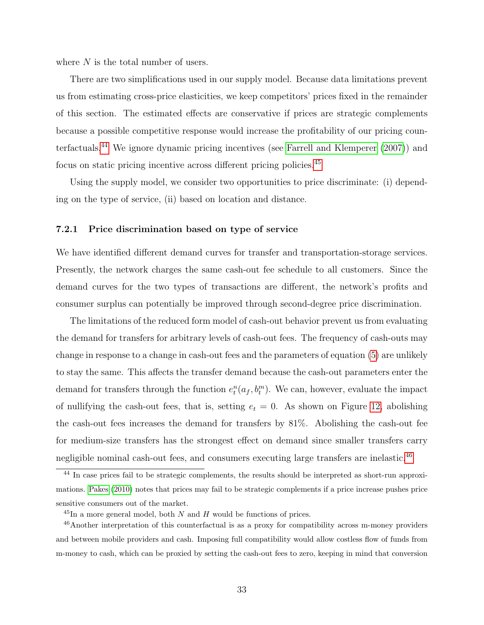where  $N$  is the total number of users.

There are two simplifications used in our supply model. Because data limitations prevent us from estimating cross-price elasticities, we keep competitors' prices fixed in the remainder of this section. The estimated effects are conservative if prices are strategic complements because a possible competitive response would increase the profitability of our pricing counterfactuals.[44](#page-32-0) We ignore dynamic pricing incentives (see [Farrell and Klemperer](#page-39-10) [\(2007\)](#page-39-10)) and focus on static pricing incentive across different pricing policies.[45](#page-32-1)

Using the supply model, we consider two opportunities to price discriminate: (i) depending on the type of service, (ii) based on location and distance.

#### <span id="page-32-3"></span>7.2.1 Price discrimination based on type of service

We have identified different demand curves for transfer and transportation-storage services. Presently, the network charges the same cash-out fee schedule to all customers. Since the demand curves for the two types of transactions are different, the network's profits and consumer surplus can potentially be improved through second-degree price discrimination.

The limitations of the reduced form model of cash-out behavior prevent us from evaluating the demand for transfers for arbitrary levels of cash-out fees. The frequency of cash-outs may change in response to a change in cash-out fees and the parameters of equation [\(5\)](#page-22-0) are unlikely to stay the same. This affects the transfer demand because the cash-out parameters enter the demand for transfers through the function  $e_t^n(a_f, b_t^m)$ . We can, however, evaluate the impact of nullifying the cash-out fees, that is, setting  $e_t = 0$ . As shown on Figure [12,](#page-53-1) abolishing the cash-out fees increases the demand for transfers by 81%. Abolishing the cash-out fee for medium-size transfers has the strongest effect on demand since smaller transfers carry negligible nominal cash-out fees, and consumers executing large transfers are inelastic.<sup>[46](#page-32-2)</sup>

<span id="page-32-0"></span><sup>&</sup>lt;sup>44</sup> In case prices fail to be strategic complements, the results should be interpreted as short-run approximations. [Pakes](#page-40-10) [\(2010\)](#page-40-10) notes that prices may fail to be strategic complements if a price increase pushes price sensitive consumers out of the market.

<span id="page-32-2"></span><span id="page-32-1"></span> $^{45}$ In a more general model, both N and H would be functions of prices.

<sup>46</sup>Another interpretation of this counterfactual is as a proxy for compatibility across m-money providers and between mobile providers and cash. Imposing full compatibility would allow costless flow of funds from m-money to cash, which can be proxied by setting the cash-out fees to zero, keeping in mind that conversion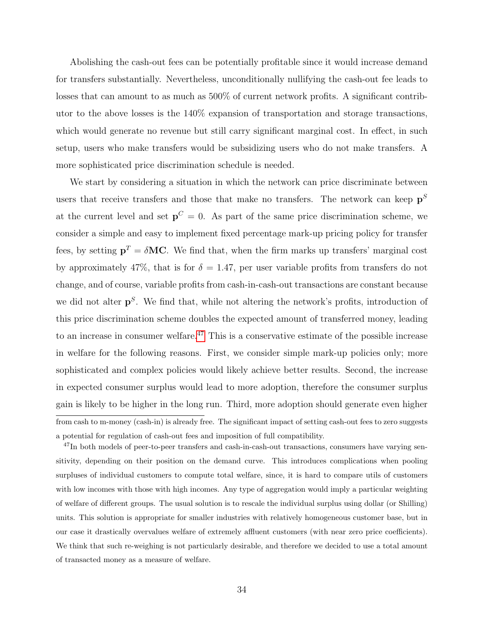Abolishing the cash-out fees can be potentially profitable since it would increase demand for transfers substantially. Nevertheless, unconditionally nullifying the cash-out fee leads to losses that can amount to as much as 500% of current network profits. A significant contributor to the above losses is the 140% expansion of transportation and storage transactions, which would generate no revenue but still carry significant marginal cost. In effect, in such setup, users who make transfers would be subsidizing users who do not make transfers. A more sophisticated price discrimination schedule is needed.

We start by considering a situation in which the network can price discriminate between users that receive transfers and those that make no transfers. The network can keep  $p^S$ at the current level and set  $p^C = 0$ . As part of the same price discrimination scheme, we consider a simple and easy to implement fixed percentage mark-up pricing policy for transfer fees, by setting  $p^T = \delta M C$ . We find that, when the firm marks up transfers' marginal cost by approximately 47%, that is for  $\delta = 1.47$ , per user variable profits from transfers do not change, and of course, variable profits from cash-in-cash-out transactions are constant because we did not alter  $p<sup>S</sup>$ . We find that, while not altering the network's profits, introduction of this price discrimination scheme doubles the expected amount of transferred money, leading to an increase in consumer welfare.<sup>[47](#page-33-0)</sup> This is a conservative estimate of the possible increase in welfare for the following reasons. First, we consider simple mark-up policies only; more sophisticated and complex policies would likely achieve better results. Second, the increase in expected consumer surplus would lead to more adoption, therefore the consumer surplus gain is likely to be higher in the long run. Third, more adoption should generate even higher from cash to m-money (cash-in) is already free. The significant impact of setting cash-out fees to zero suggests a potential for regulation of cash-out fees and imposition of full compatibility.

<span id="page-33-0"></span><sup>47</sup>In both models of peer-to-peer transfers and cash-in-cash-out transactions, consumers have varying sensitivity, depending on their position on the demand curve. This introduces complications when pooling surpluses of individual customers to compute total welfare, since, it is hard to compare utils of customers with low incomes with those with high incomes. Any type of aggregation would imply a particular weighting of welfare of different groups. The usual solution is to rescale the individual surplus using dollar (or Shilling) units. This solution is appropriate for smaller industries with relatively homogeneous customer base, but in our case it drastically overvalues welfare of extremely affluent customers (with near zero price coefficients). We think that such re-weighing is not particularly desirable, and therefore we decided to use a total amount of transacted money as a measure of welfare.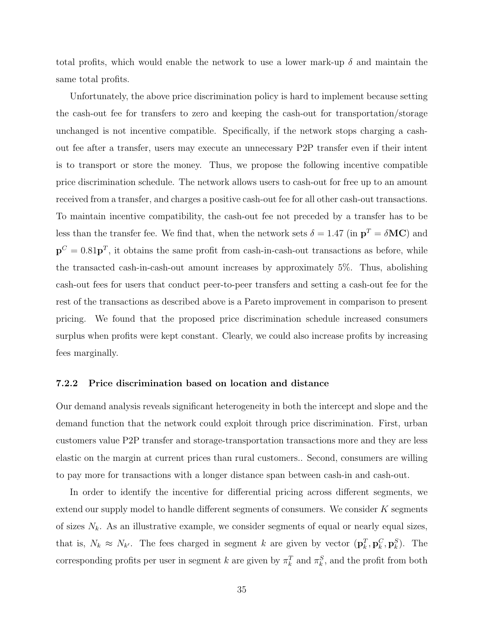total profits, which would enable the network to use a lower mark-up  $\delta$  and maintain the same total profits.

Unfortunately, the above price discrimination policy is hard to implement because setting the cash-out fee for transfers to zero and keeping the cash-out for transportation/storage unchanged is not incentive compatible. Specifically, if the network stops charging a cashout fee after a transfer, users may execute an unnecessary P2P transfer even if their intent is to transport or store the money. Thus, we propose the following incentive compatible price discrimination schedule. The network allows users to cash-out for free up to an amount received from a transfer, and charges a positive cash-out fee for all other cash-out transactions. To maintain incentive compatibility, the cash-out fee not preceded by a transfer has to be less than the transfer fee. We find that, when the network sets  $\delta = 1.47$  (in  $\mathbf{p}^T = \delta \mathbf{MC}$ ) and  ${\bf p}^C=0.81{\bf p}^T$ , it obtains the same profit from cash-in-cash-out transactions as before, while the transacted cash-in-cash-out amount increases by approximately 5%. Thus, abolishing cash-out fees for users that conduct peer-to-peer transfers and setting a cash-out fee for the rest of the transactions as described above is a Pareto improvement in comparison to present pricing. We found that the proposed price discrimination schedule increased consumers surplus when profits were kept constant. Clearly, we could also increase profits by increasing fees marginally.

#### 7.2.2 Price discrimination based on location and distance

Our demand analysis reveals significant heterogeneity in both the intercept and slope and the demand function that the network could exploit through price discrimination. First, urban customers value P2P transfer and storage-transportation transactions more and they are less elastic on the margin at current prices than rural customers.. Second, consumers are willing to pay more for transactions with a longer distance span between cash-in and cash-out.

In order to identify the incentive for differential pricing across different segments, we extend our supply model to handle different segments of consumers. We consider  $K$  segments of sizes  $N_k$ . As an illustrative example, we consider segments of equal or nearly equal sizes, that is,  $N_k \approx N_{k'}$ . The fees charged in segment k are given by vector  $(\mathbf{p}_k^T, \mathbf{p}_k^C, \mathbf{p}_k^S)$ . The corresponding profits per user in segment k are given by  $\pi_k^T$  and  $\pi_k^S$ , and the profit from both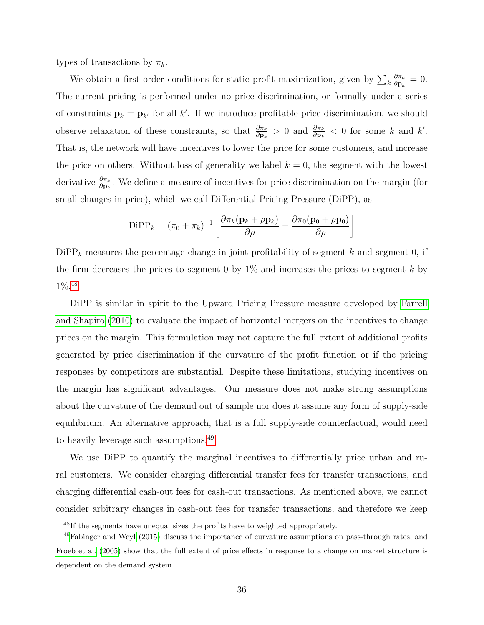types of transactions by  $\pi_k$ .

We obtain a first order conditions for static profit maximization, given by  $\sum_k \frac{\partial \pi_k}{\partial \mathbf{p}_k}$  $\frac{\partial \pi_k}{\partial \mathbf{p}_k} = 0.$ The current pricing is performed under no price discrimination, or formally under a series of constraints  $\mathbf{p}_k = \mathbf{p}_{k'}$  for all k'. If we introduce profitable price discrimination, we should observe relaxation of these constraints, so that  $\frac{\partial \pi_k}{\partial \mathbf{p}_k} > 0$  and  $\frac{\partial \pi_k}{\partial \mathbf{p}_k} < 0$  for some k and k'. That is, the network will have incentives to lower the price for some customers, and increase the price on others. Without loss of generality we label  $k = 0$ , the segment with the lowest derivative  $\frac{\partial \pi_k}{\partial \mathbf{p}_k}$ . We define a measure of incentives for price discrimination on the margin (for small changes in price), which we call Differential Pricing Pressure (DiPP), as

$$
\text{DiPP}_k = (\pi_0 + \pi_k)^{-1} \left[ \frac{\partial \pi_k (\mathbf{p}_k + \rho \mathbf{p}_k)}{\partial \rho} - \frac{\partial \pi_0 (\mathbf{p}_0 + \rho \mathbf{p}_0)}{\partial \rho} \right]
$$

 $\text{DiPP}_k$  measures the percentage change in joint profitability of segment  $k$  and segment 0, if the firm decreases the prices to segment 0 by  $1\%$  and increases the prices to segment k by 1%.[48](#page-35-0)

DiPP is similar in spirit to the Upward Pricing Pressure measure developed by [Farrell](#page-39-11) [and Shapiro](#page-39-11) [\(2010\)](#page-39-11) to evaluate the impact of horizontal mergers on the incentives to change prices on the margin. This formulation may not capture the full extent of additional profits generated by price discrimination if the curvature of the profit function or if the pricing responses by competitors are substantial. Despite these limitations, studying incentives on the margin has significant advantages. Our measure does not make strong assumptions about the curvature of the demand out of sample nor does it assume any form of supply-side equilibrium. An alternative approach, that is a full supply-side counterfactual, would need to heavily leverage such assumptions.<sup>[49](#page-35-1)</sup>

We use DiPP to quantify the marginal incentives to differentially price urban and rural customers. We consider charging differential transfer fees for transfer transactions, and charging differential cash-out fees for cash-out transactions. As mentioned above, we cannot consider arbitrary changes in cash-out fees for transfer transactions, and therefore we keep

<span id="page-35-1"></span><span id="page-35-0"></span><sup>48</sup>If the segments have unequal sizes the profits have to weighted appropriately.

 $^{49}$ [Fabinger and Weyl](#page-39-4) [\(2015\)](#page-39-4) discuss the importance of curvature assumptions on pass-through rates, and [Froeb et al.](#page-39-12) [\(2005\)](#page-39-12) show that the full extent of price effects in response to a change on market structure is dependent on the demand system.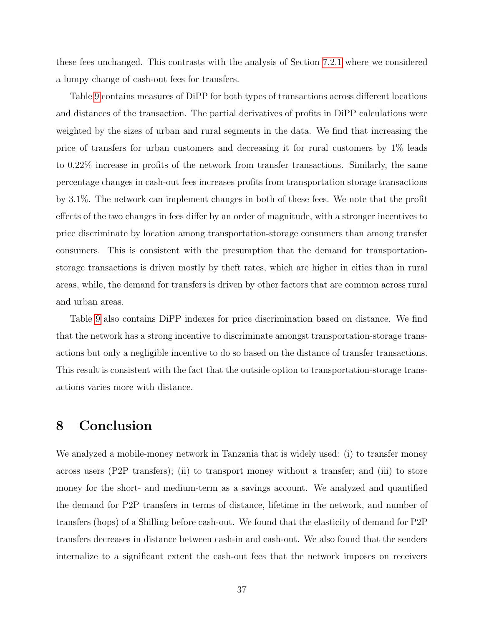these fees unchanged. This contrasts with the analysis of Section [7.2.1](#page-32-3) where we considered a lumpy change of cash-out fees for transfers.

Table [9](#page-54-1) contains measures of DiPP for both types of transactions across different locations and distances of the transaction. The partial derivatives of profits in DiPP calculations were weighted by the sizes of urban and rural segments in the data. We find that increasing the price of transfers for urban customers and decreasing it for rural customers by 1% leads to 0.22% increase in profits of the network from transfer transactions. Similarly, the same percentage changes in cash-out fees increases profits from transportation storage transactions by 3.1%. The network can implement changes in both of these fees. We note that the profit effects of the two changes in fees differ by an order of magnitude, with a stronger incentives to price discriminate by location among transportation-storage consumers than among transfer consumers. This is consistent with the presumption that the demand for transportationstorage transactions is driven mostly by theft rates, which are higher in cities than in rural areas, while, the demand for transfers is driven by other factors that are common across rural and urban areas.

Table [9](#page-54-1) also contains DiPP indexes for price discrimination based on distance. We find that the network has a strong incentive to discriminate amongst transportation-storage transactions but only a negligible incentive to do so based on the distance of transfer transactions. This result is consistent with the fact that the outside option to transportation-storage transactions varies more with distance.

## 8 Conclusion

We analyzed a mobile-money network in Tanzania that is widely used: (i) to transfer money across users (P2P transfers); (ii) to transport money without a transfer; and (iii) to store money for the short- and medium-term as a savings account. We analyzed and quantified the demand for P2P transfers in terms of distance, lifetime in the network, and number of transfers (hops) of a Shilling before cash-out. We found that the elasticity of demand for P2P transfers decreases in distance between cash-in and cash-out. We also found that the senders internalize to a significant extent the cash-out fees that the network imposes on receivers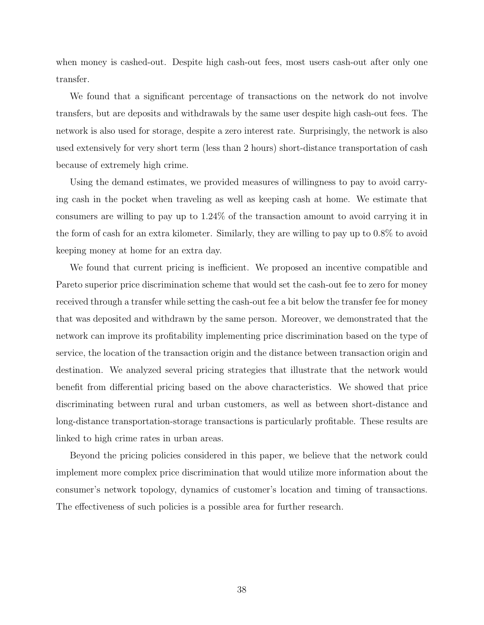when money is cashed-out. Despite high cash-out fees, most users cash-out after only one transfer.

We found that a significant percentage of transactions on the network do not involve transfers, but are deposits and withdrawals by the same user despite high cash-out fees. The network is also used for storage, despite a zero interest rate. Surprisingly, the network is also used extensively for very short term (less than 2 hours) short-distance transportation of cash because of extremely high crime.

Using the demand estimates, we provided measures of willingness to pay to avoid carrying cash in the pocket when traveling as well as keeping cash at home. We estimate that consumers are willing to pay up to 1.24% of the transaction amount to avoid carrying it in the form of cash for an extra kilometer. Similarly, they are willing to pay up to 0.8% to avoid keeping money at home for an extra day.

We found that current pricing is inefficient. We proposed an incentive compatible and Pareto superior price discrimination scheme that would set the cash-out fee to zero for money received through a transfer while setting the cash-out fee a bit below the transfer fee for money that was deposited and withdrawn by the same person. Moreover, we demonstrated that the network can improve its profitability implementing price discrimination based on the type of service, the location of the transaction origin and the distance between transaction origin and destination. We analyzed several pricing strategies that illustrate that the network would benefit from differential pricing based on the above characteristics. We showed that price discriminating between rural and urban customers, as well as between short-distance and long-distance transportation-storage transactions is particularly profitable. These results are linked to high crime rates in urban areas.

Beyond the pricing policies considered in this paper, we believe that the network could implement more complex price discrimination that would utilize more information about the consumer's network topology, dynamics of customer's location and timing of transactions. The effectiveness of such policies is a possible area for further research.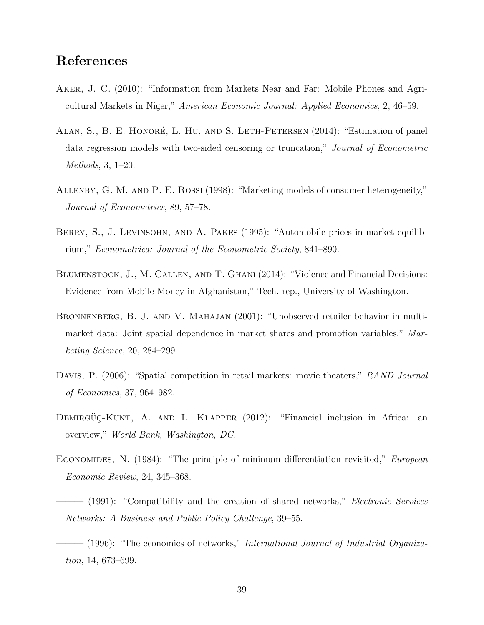## References

- <span id="page-38-0"></span>Aker, J. C. (2010): "Information from Markets Near and Far: Mobile Phones and Agricultural Markets in Niger," American Economic Journal: Applied Economics, 2, 46–59.
- <span id="page-38-10"></span>ALAN, S., B. E. HONORÉ, L. HU, AND S. LETH-PETERSEN (2014): "Estimation of panel data regression models with two-sided censoring or truncation," Journal of Econometric Methods, 3, 1–20.
- <span id="page-38-5"></span>Allenby, G. M. and P. E. Rossi (1998): "Marketing models of consumer heterogeneity," Journal of Econometrics, 89, 57–78.
- <span id="page-38-7"></span>BERRY, S., J. LEVINSOHN, AND A. PAKES (1995): "Automobile prices in market equilibrium," Econometrica: Journal of the Econometric Society, 841–890.
- <span id="page-38-4"></span>Blumenstock, J., M. Callen, and T. Ghani (2014): "Violence and Financial Decisions: Evidence from Mobile Money in Afghanistan," Tech. rep., University of Washington.
- <span id="page-38-6"></span>BRONNENBERG, B. J. AND V. MAHAJAN (2001): "Unobserved retailer behavior in multimarket data: Joint spatial dependence in market shares and promotion variables," Marketing Science, 20, 284–299.
- <span id="page-38-9"></span>DAVIS, P. (2006): "Spatial competition in retail markets: movie theaters," RAND Journal of Economics, 37, 964–982.
- <span id="page-38-1"></span>DEMIRGUC-KUNT, A. AND L. KLAPPER  $(2012)$ : "Financial inclusion in Africa: an overview," World Bank, Washington, DC.
- <span id="page-38-8"></span>Economides, N. (1984): "The principle of minimum differentiation revisited," European Economic Review, 24, 345–368.
- <span id="page-38-2"></span>– (1991): "Compatibility and the creation of shared networks," *Electronic Services* Networks: A Business and Public Policy Challenge, 39–55.
- <span id="page-38-3"></span> $(1996)$ : "The economics of networks," *International Journal of Industrial Organiza*tion, 14, 673–699.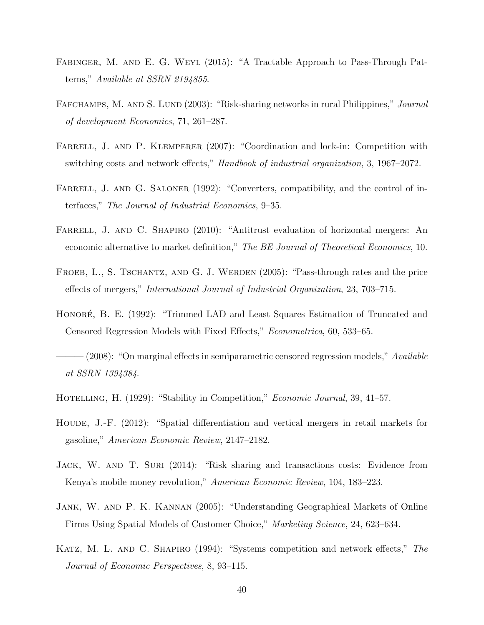- <span id="page-39-4"></span>Fabinger, M. and E. G. Weyl (2015): "A Tractable Approach to Pass-Through Patterns," Available at SSRN 2194855.
- <span id="page-39-3"></span>FAFCHAMPS, M. AND S. LUND (2003): "Risk-sharing networks in rural Philippines," *Journal* of development Economics, 71, 261–287.
- <span id="page-39-10"></span>FARRELL, J. AND P. KLEMPERER (2007): "Coordination and lock-in: Competition with switching costs and network effects," Handbook of industrial organization, 3, 1967–2072.
- <span id="page-39-1"></span>FARRELL, J. AND G. SALONER (1992): "Converters, compatibility, and the control of interfaces," The Journal of Industrial Economics, 9–35.
- <span id="page-39-11"></span>FARRELL, J. AND C. SHAPIRO (2010): "Antitrust evaluation of horizontal mergers: An economic alternative to market definition," The BE Journal of Theoretical Economics, 10.
- <span id="page-39-12"></span>FROEB, L., S. TSCHANTZ, AND G. J. WERDEN (2005): "Pass-through rates and the price effects of mergers," International Journal of Industrial Organization, 23, 703–715.
- <span id="page-39-8"></span>HONORÉ, B. E. (1992): "Trimmed LAD and Least Squares Estimation of Truncated and Censored Regression Models with Fixed Effects," Econometrica, 60, 533–65.
- <span id="page-39-9"></span> $(2008)$ : "On marginal effects in semiparametric censored regression models," Available at SSRN 1394384.
- <span id="page-39-5"></span>Hotelling, H. (1929): "Stability in Competition," Economic Journal, 39, 41–57.
- <span id="page-39-6"></span>HOUDE, J.-F. (2012): "Spatial differentiation and vertical mergers in retail markets for gasoline," American Economic Review, 2147–2182.
- <span id="page-39-0"></span>Jack, W. and T. Suri (2014): "Risk sharing and transactions costs: Evidence from Kenya's mobile money revolution," American Economic Review, 104, 183–223.
- <span id="page-39-7"></span>Jank, W. and P. K. Kannan (2005): "Understanding Geographical Markets of Online Firms Using Spatial Models of Customer Choice," Marketing Science, 24, 623–634.
- <span id="page-39-2"></span>KATZ, M. L. AND C. SHAPIRO (1994): "Systems competition and network effects," The Journal of Economic Perspectives, 8, 93–115.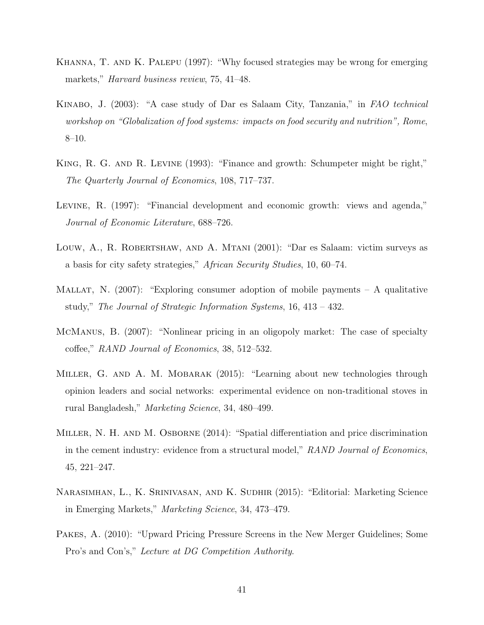- <span id="page-40-0"></span>Khanna, T. and K. Palepu (1997): "Why focused strategies may be wrong for emerging markets," Harvard business review, 75, 41–48.
- <span id="page-40-5"></span>Kinabo, J. (2003): "A case study of Dar es Salaam City, Tanzania," in FAO technical workshop on "Globalization of food systems: impacts on food security and nutrition", Rome, 8–10.
- <span id="page-40-2"></span>KING, R. G. AND R. LEVINE (1993): "Finance and growth: Schumpeter might be right," The Quarterly Journal of Economics, 108, 717–737.
- <span id="page-40-3"></span>Levine, R. (1997): "Financial development and economic growth: views and agenda," Journal of Economic Literature, 688–726.
- <span id="page-40-6"></span>Louw, A., R. ROBERTSHAW, AND A. MTANI (2001): "Dar es Salaam: victim surveys as a basis for city safety strategies," African Security Studies, 10, 60–74.
- <span id="page-40-9"></span>MALLAT, N.  $(2007)$ : "Exploring consumer adoption of mobile payments – A qualitative study," The Journal of Strategic Information Systems, 16, 413 – 432.
- <span id="page-40-7"></span>McManus, B. (2007): "Nonlinear pricing in an oligopoly market: The case of specialty coffee," RAND Journal of Economics, 38, 512–532.
- <span id="page-40-4"></span>Miller, G. and A. M. Mobarak (2015): "Learning about new technologies through opinion leaders and social networks: experimental evidence on non-traditional stoves in rural Bangladesh," Marketing Science, 34, 480–499.
- <span id="page-40-8"></span>Miller, N. H. and M. Osborne (2014): "Spatial differentiation and price discrimination in the cement industry: evidence from a structural model," RAND Journal of Economics, 45, 221–247.
- <span id="page-40-1"></span>Narasimhan, L., K. Srinivasan, and K. Sudhir (2015): "Editorial: Marketing Science in Emerging Markets," Marketing Science, 34, 473–479.
- <span id="page-40-10"></span>Pakes, A. (2010): "Upward Pricing Pressure Screens in the New Merger Guidelines; Some Pro's and Con's," Lecture at DG Competition Authority.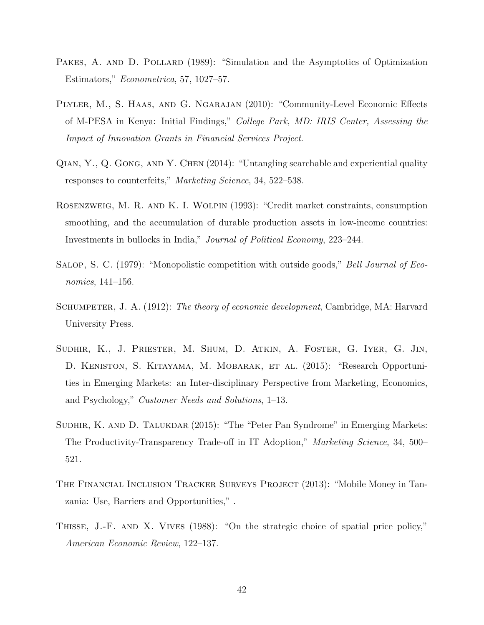- <span id="page-41-9"></span>PAKES, A. AND D. POLLARD (1989): "Simulation and the Asymptotics of Optimization Estimators," Econometrica, 57, 1027–57.
- <span id="page-41-8"></span>Plyler, M., S. Haas, and G. Ngarajan (2010): "Community-Level Economic Effects of M-PESA in Kenya: Initial Findings," College Park, MD: IRIS Center, Assessing the Impact of Innovation Grants in Financial Services Project.
- <span id="page-41-3"></span>Qian, Y., Q. Gong, and Y. Chen (2014): "Untangling searchable and experiential quality responses to counterfeits," Marketing Science, 34, 522–538.
- <span id="page-41-5"></span>Rosenzweig, M. R. and K. I. Wolpin (1993): "Credit market constraints, consumption smoothing, and the accumulation of durable production assets in low-income countries: Investments in bullocks in India," Journal of Political Economy, 223–244.
- <span id="page-41-6"></span>SALOP, S. C. (1979): "Monopolistic competition with outside goods," Bell Journal of Economics, 141–156.
- <span id="page-41-1"></span>SCHUMPETER, J. A. (1912): The theory of economic development, Cambridge, MA: Harvard University Press.
- <span id="page-41-0"></span>Sudhir, K., J. Priester, M. Shum, D. Atkin, A. Foster, G. Iyer, G. Jin, D. KENISTON, S. KITAYAMA, M. MOBARAK, ET AL. (2015): "Research Opportunities in Emerging Markets: an Inter-disciplinary Perspective from Marketing, Economics, and Psychology," Customer Needs and Solutions, 1–13.
- <span id="page-41-2"></span>SUDHIR, K. AND D. TALUKDAR (2015): "The "Peter Pan Syndrome" in Emerging Markets: The Productivity-Transparency Trade-off in IT Adoption," Marketing Science, 34, 500– 521.
- <span id="page-41-4"></span>The Financial Inclusion Tracker Surveys Project (2013): "Mobile Money in Tanzania: Use, Barriers and Opportunities," .
- <span id="page-41-7"></span>THISSE, J.-F. AND X. VIVES (1988): "On the strategic choice of spatial price policy," American Economic Review, 122–137.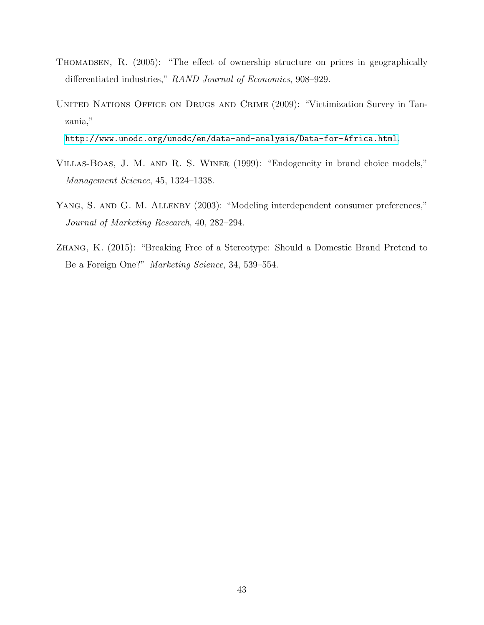- <span id="page-42-3"></span>Thomadsen, R. (2005): "The effect of ownership structure on prices in geographically differentiated industries," RAND Journal of Economics, 908–929.
- <span id="page-42-1"></span>United Nations Office on Drugs and Crime (2009): "Victimization Survey in Tanzania,"

<http://www.unodc.org/unodc/en/data-and-analysis/Data-for-Africa.html>.

- <span id="page-42-4"></span>Villas-Boas, J. M. and R. S. Winer (1999): "Endogeneity in brand choice models," Management Science, 45, 1324–1338.
- <span id="page-42-2"></span>YANG, S. AND G. M. ALLENBY (2003): "Modeling interdependent consumer preferences," Journal of Marketing Research, 40, 282–294.
- <span id="page-42-0"></span>Zhang, K. (2015): "Breaking Free of a Stereotype: Should a Domestic Brand Pretend to Be a Foreign One?" Marketing Science, 34, 539–554.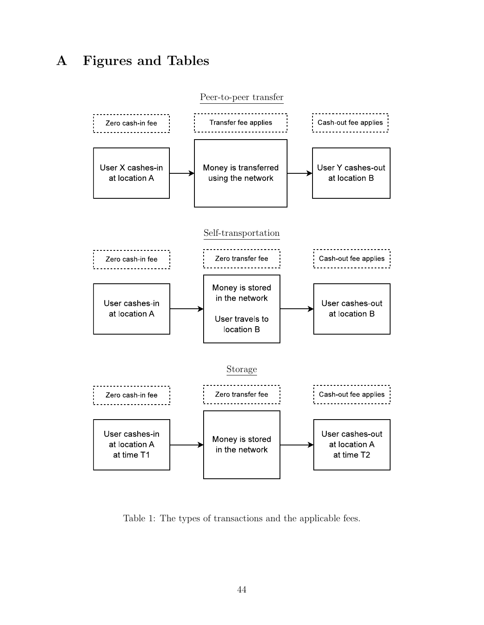# A Figures and Tables



<span id="page-43-0"></span>Table 1: The types of transactions and the applicable fees.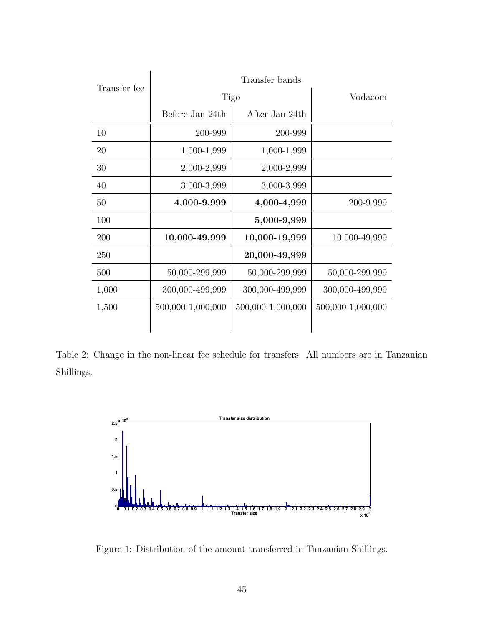| Transfer fee | Transfer bands    |                   |                   |  |  |  |
|--------------|-------------------|-------------------|-------------------|--|--|--|
|              |                   | Tigo              | Vodacom           |  |  |  |
|              | Before Jan 24th   | After Jan 24th    |                   |  |  |  |
| 10           | 200-999           | 200-999           |                   |  |  |  |
| 20           | 1,000-1,999       | 1,000-1,999       |                   |  |  |  |
| 30           | 2,000-2,999       | 2,000-2,999       |                   |  |  |  |
| 40           | 3,000-3,999       | 3,000-3,999       |                   |  |  |  |
| 50           | 4,000-9,999       | 4,000-4,999       | 200-9,999         |  |  |  |
| 100          |                   | 5,000-9,999       |                   |  |  |  |
| 200          | 10,000-49,999     | 10,000-19,999     | 10,000-49,999     |  |  |  |
| 250          |                   | 20,000-49,999     |                   |  |  |  |
| 500          | 50,000-299,999    | 50,000-299,999    | 50,000-299,999    |  |  |  |
| 1,000        | 300,000-499,999   | 300,000-499,999   | 300,000-499,999   |  |  |  |
| 1,500        | 500,000-1,000,000 | 500,000-1,000,000 | 500,000-1,000,000 |  |  |  |

<span id="page-44-0"></span>Table 2: Change in the non-linear fee schedule for transfers. All numbers are in Tanzanian Shillings.



<span id="page-44-1"></span>Figure 1: Distribution of the amount transferred in Tanzanian Shillings.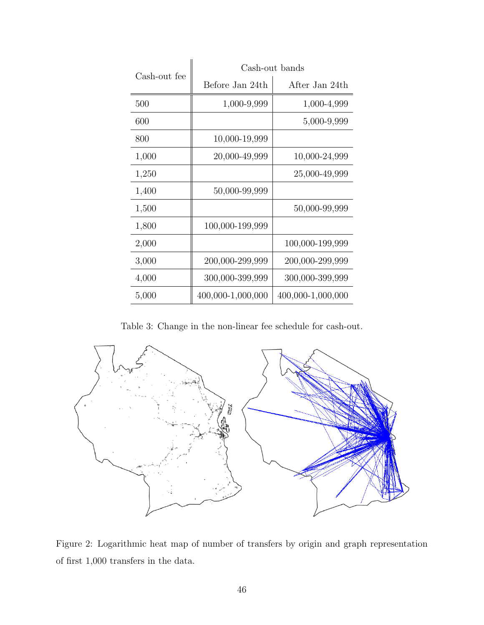|              | Cash-out bands    |                   |  |  |
|--------------|-------------------|-------------------|--|--|
| Cash-out fee | Before Jan 24th   | After Jan 24th    |  |  |
| 500          | 1,000-9,999       | 1,000-4,999       |  |  |
| 600          |                   | 5,000-9,999       |  |  |
| 800          | 10,000-19,999     |                   |  |  |
| 1,000        | 20,000-49,999     | 10,000-24,999     |  |  |
| 1,250        |                   | 25,000-49,999     |  |  |
| 1,400        | 50,000-99,999     |                   |  |  |
| 1,500        |                   | 50,000-99,999     |  |  |
| 1,800        | 100,000-199,999   |                   |  |  |
| 2,000        |                   | 100,000-199,999   |  |  |
| 3,000        | 200,000-299,999   | 200,000-299,999   |  |  |
| 4,000        | 300,000-399,999   | 300,000-399,999   |  |  |
| 5,000        | 400,000-1,000,000 | 400,000-1,000,000 |  |  |

<span id="page-45-0"></span>Table 3: Change in the non-linear fee schedule for cash-out.



<span id="page-45-1"></span>Figure 2: Logarithmic heat map of number of transfers by origin and graph representation of first 1,000 transfers in the data.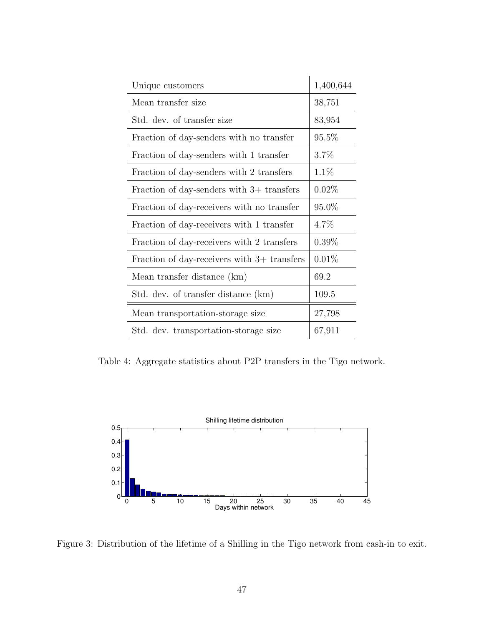| Unique customers                              | 1,400,644 |
|-----------------------------------------------|-----------|
| Mean transfer size                            | 38,751    |
| Std. dev. of transfer size                    | 83,954    |
| Fraction of day-senders with no transfer      | $95.5\%$  |
| Fraction of day-senders with 1 transfer       | 3.7%      |
| Fraction of day-senders with 2 transfers      | $1.1\%$   |
| Fraction of day-senders with $3+$ transfers   | $0.02\%$  |
| Fraction of day-receivers with no transfer    | $95.0\%$  |
| Fraction of day-receivers with 1 transfer     | $4.7\%$   |
| Fraction of day-receivers with 2 transfers    | $0.39\%$  |
| Fraction of day-receivers with $3+$ transfers | 0.01%     |
| Mean transfer distance (km)                   | 69.2      |
| Std. dev. of transfer distance (km)           | 109.5     |
| Mean transportation-storage size              | 27,798    |
| Std. dev. transportation-storage size         | 67,911    |

<span id="page-46-0"></span>Table 4: Aggregate statistics about P2P transfers in the Tigo network.



<span id="page-46-1"></span>Figure 3: Distribution of the lifetime of a Shilling in the Tigo network from cash-in to exit.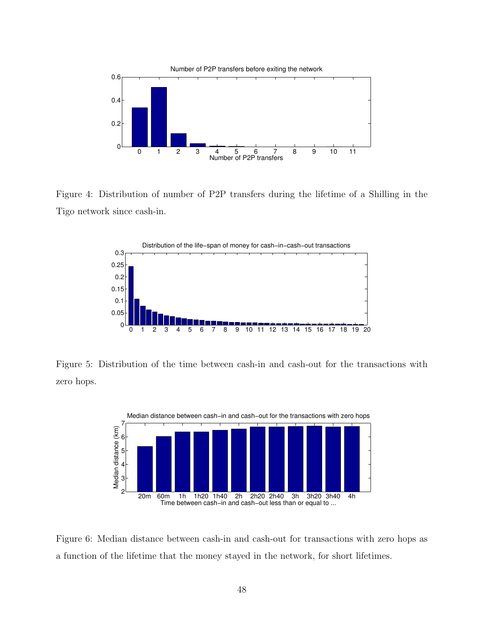

<span id="page-47-0"></span>Figure 4: Distribution of number of P2P transfers during the lifetime of a Shilling in the Tigo network since cash-in.



<span id="page-47-1"></span>Figure 5: Distribution of the time between cash-in and cash-out for the transactions with zero hops.



<span id="page-47-2"></span>Figure 6: Median distance between cash-in and cash-out for transactions with zero hops as a function of the lifetime that the money stayed in the network, for short lifetimes.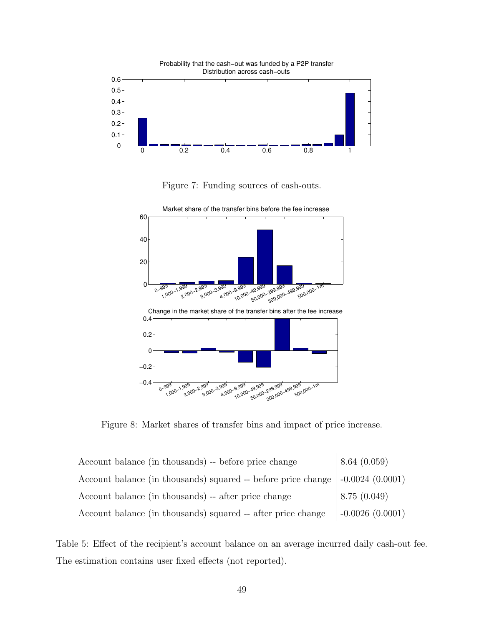

<span id="page-48-0"></span>Figure 7: Funding sources of cash-outs.



<span id="page-48-1"></span>Figure 8: Market shares of transfer bins and impact of price increase.

| Account balance (in thousands) -- before price change         | 8.64(0.059)       |
|---------------------------------------------------------------|-------------------|
| Account balance (in thousands) squared -- before price change | $-0.0024(0.0001)$ |
| Account balance (in thousands) -- after price change          | 8.75(0.049)       |
| Account balance (in thousands) squared -- after price change  | $-0.0026(0.0001)$ |

<span id="page-48-2"></span>Table 5: Effect of the recipient's account balance on an average incurred daily cash-out fee. The estimation contains user fixed effects (not reported).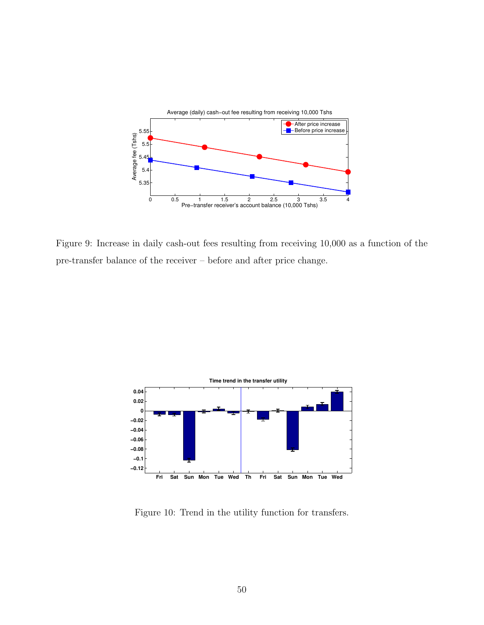

<span id="page-49-0"></span>Figure 9: Increase in daily cash-out fees resulting from receiving 10,000 as a function of the pre-transfer balance of the receiver – before and after price change.



<span id="page-49-1"></span>Figure 10: Trend in the utility function for transfers.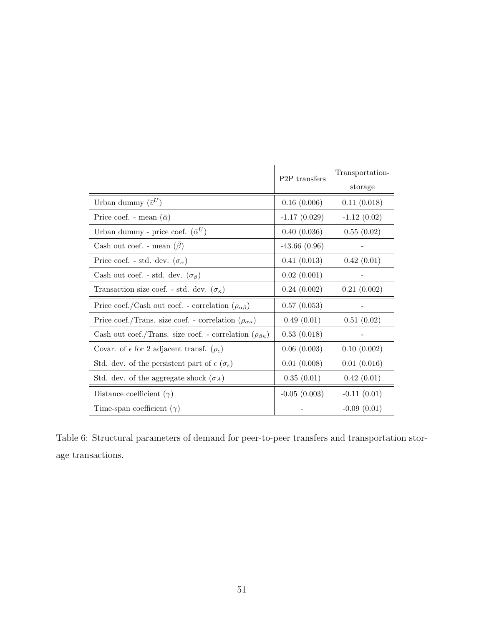|                                                                              | P <sub>2</sub> P transfers | Transportation-<br>storage |
|------------------------------------------------------------------------------|----------------------------|----------------------------|
| Urban dummy $(\bar{v}^U)$                                                    | 0.16(0.006)                | 0.11(0.018)                |
| Price coef. - mean $(\bar{\alpha})$                                          | $-1.17(0.029)$             | $-1.12(0.02)$              |
| Urban dummy - price coef. $(\bar{\alpha}^U)$                                 | 0.40(0.036)                | 0.55(0.02)                 |
| Cash out coef. - mean $(\beta)$                                              | $-43.66(0.96)$             |                            |
| Price coef. - std. dev. $(\sigma_{\alpha})$                                  | 0.41(0.013)                | 0.42(0.01)                 |
| Cash out coef. - std. dev. $(\sigma_{\beta})$                                | 0.02(0.001)                |                            |
| Transaction size coef. - std. dev. $(\sigma_{\kappa})$                       | 0.24(0.002)                | 0.21(0.002)                |
| Price coef./Cash out coef. - correlation $(\rho_{\alpha\beta})$              | 0.57(0.053)                |                            |
| Price coef./Trans. size coef. - correlation $(\rho_{\alpha\kappa})$          | 0.49(0.01)                 | 0.51(0.02)                 |
| Cash out coef./Trans. size coef. - correlation $(\rho_{\beta\kappa})$        | 0.53(0.018)                |                            |
| Covar. of $\epsilon$ for 2 adjacent transf. $(\rho_{\epsilon})$              | 0.06(0.003)                | 0.10(0.002)                |
| Std. dev. of the persistent part of $\epsilon$ ( $\sigma_{\bar{\epsilon}}$ ) | 0.01(0.008)                | 0.01(0.016)                |
| Std. dev. of the aggregate shock $(\sigma_A)$                                | 0.35(0.01)                 | 0.42(0.01)                 |
| Distance coefficient $(\gamma)$                                              | $-0.05(0.003)$             | $-0.11(0.01)$              |
| Time-span coefficient $(\gamma)$                                             |                            | $-0.09(0.01)$              |

<span id="page-50-0"></span>Table 6: Structural parameters of demand for peer-to-peer transfers and transportation storage transactions.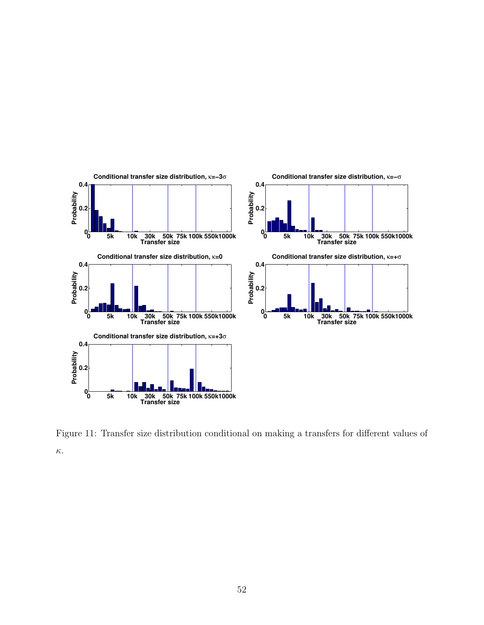

<span id="page-51-0"></span>Figure 11: Transfer size distribution conditional on making a transfers for different values of κ.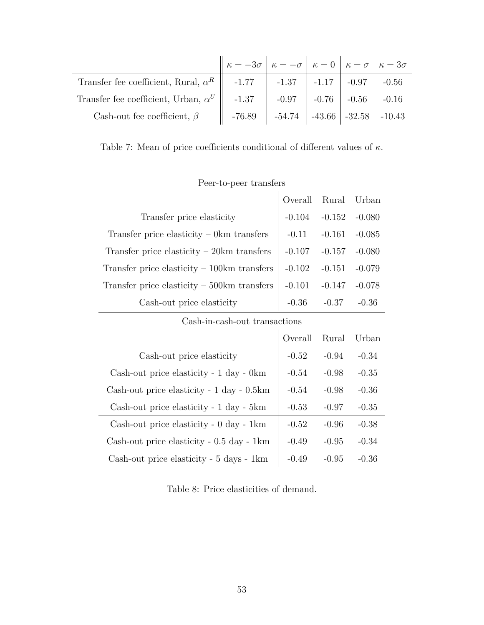|                                                                                     | $\kappa = -3\sigma$ $\kappa = -\sigma$ $\kappa = 0$ $\kappa = \sigma$ $\kappa = 3\sigma$ |  |  |
|-------------------------------------------------------------------------------------|------------------------------------------------------------------------------------------|--|--|
| Transfer fee coefficient, Rural, $\alpha^R$   -1.77   -1.37   -1.17   -0.97   -0.56 |                                                                                          |  |  |
| Transfer fee coefficient, Urban, $\alpha^U$   -1.37   -0.97   -0.76   -0.56   -0.16 |                                                                                          |  |  |
| Cash-out fee coefficient, $\beta$                                                   | $-76.89$   $-54.74$   $-43.66$   $-32.58$   $-10.43$                                     |  |  |

<span id="page-52-0"></span>Table 7: Mean of price coefficients conditional of different values of  $\kappa$ .

|                                                      | $\begin{tabular}{c} Overall & Rural & Urban \end{tabular}$ |                            |         |
|------------------------------------------------------|------------------------------------------------------------|----------------------------|---------|
| Transfer price elasticity                            |                                                            | $-0.104$ $-0.152$ $-0.080$ |         |
| Transfer price elasticity $-$ 0km transfers          |                                                            | $-0.11$ $-0.161$ $-0.085$  |         |
| Transfer price elasticity $-20km$ transfers          |                                                            | $-0.107$ $-0.157$ $-0.080$ |         |
| Transfer price elasticity $-100 \text{km}$ transfers | $-0.102$ $-0.151$ $-0.079$                                 |                            |         |
| Transfer price elasticity $-500 \text{km}$ transfers | $-0.101$ $-0.147$ $-0.078$                                 |                            |         |
| Cash-out price elasticity                            | $-0.36$                                                    | $-0.37$                    | $-0.36$ |

### Peer-to-peer transfers

Cash-in-cash-out transactions

|                                           | Overall | Rural   | Urban   |
|-------------------------------------------|---------|---------|---------|
| Cash-out price elasticity                 | $-0.52$ | $-0.94$ | $-0.34$ |
| Cash-out price elasticity - 1 day - 0km   | $-0.54$ | $-0.98$ | $-0.35$ |
| Cash-out price elasticity - 1 day - 0.5km | $-0.54$ | $-0.98$ | $-0.36$ |
| Cash-out price elasticity - 1 day - 5km   | $-0.53$ | $-0.97$ | $-0.35$ |
| Cash-out price elasticity - 0 day - 1km   | $-0.52$ | $-0.96$ | $-0.38$ |
| Cash-out price elasticity - 0.5 day - 1km | $-0.49$ | $-0.95$ | $-0.34$ |
| Cash-out price elasticity - 5 days - 1km  | $-0.49$ | $-0.95$ | -0.36   |

<span id="page-52-1"></span>Table 8: Price elasticities of demand.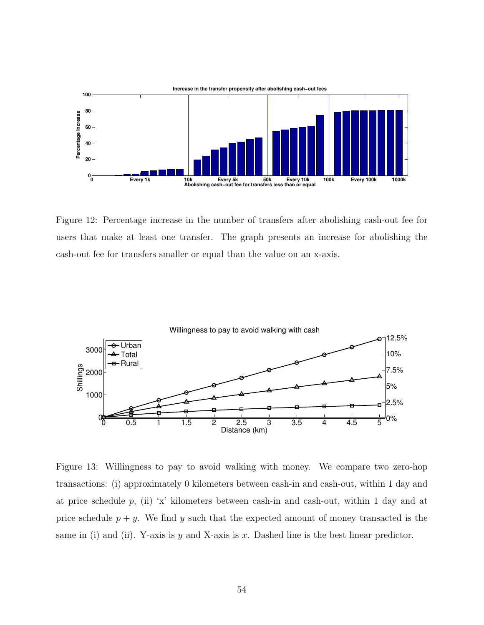

<span id="page-53-1"></span>Figure 12: Percentage increase in the number of transfers after abolishing cash-out fee for users that make at least one transfer. The graph presents an increase for abolishing the cash-out fee for transfers smaller or equal than the value on an x-axis.



<span id="page-53-0"></span>Figure 13: Willingness to pay to avoid walking with money. We compare two zero-hop transactions: (i) approximately 0 kilometers between cash-in and cash-out, within 1 day and at price schedule p, (ii) 'x' kilometers between cash-in and cash-out, within 1 day and at price schedule  $p + y$ . We find y such that the expected amount of money transacted is the same in (i) and (ii). Y-axis is y and X-axis is x. Dashed line is the best linear predictor.